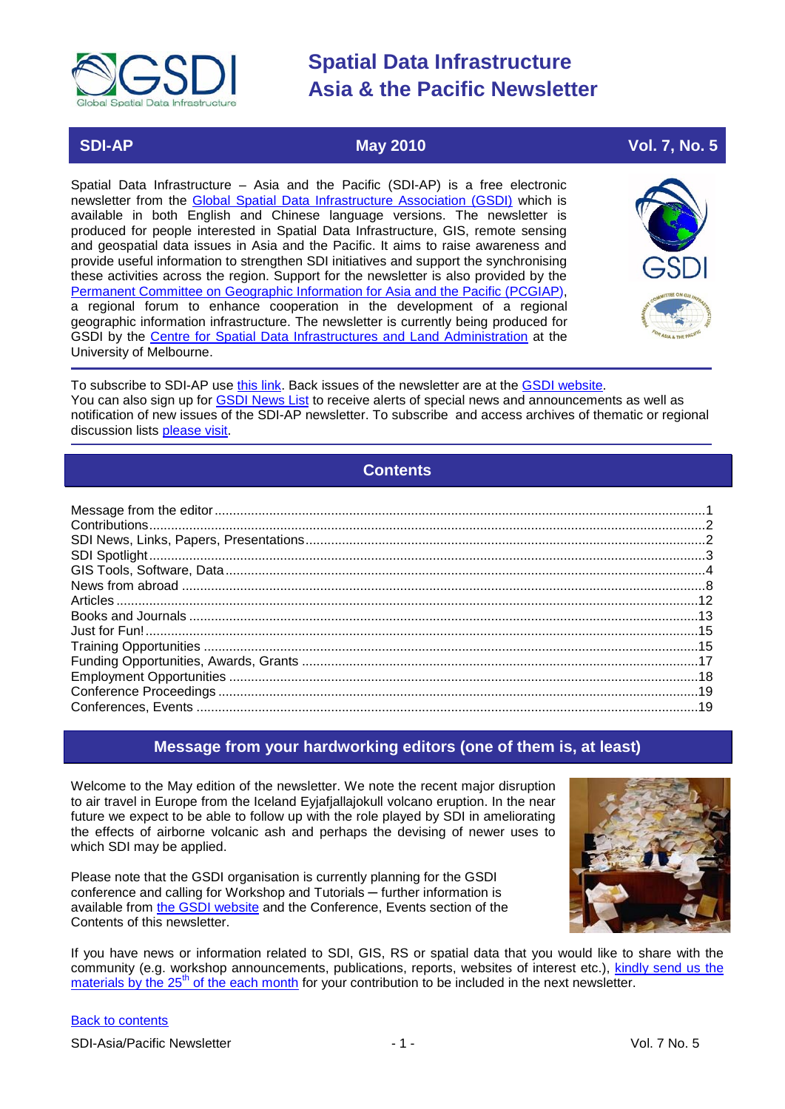

### **SDI-AP May 2010 Vol. 7, No. 5**

Spatial Data Infrastructure – Asia and the Pacific (SDI-AP) is a free electronic newsletter from the [Global Spatial Data Infrastructure Association \(GSDI\)](http://www.gsdi.org/) which is available in both English and Chinese language versions. The newsletter is produced for people interested in Spatial Data Infrastructure, GIS, remote sensing and geospatial data issues in Asia and the Pacific. It aims to raise awareness and provide useful information to strengthen SDI initiatives and support the synchronising these activities across the region. Support for the newsletter is also provided by the [Permanent Committee on Geographic Information for Asia and the Pacific \(PCGIAP\)](http://www.pcgiap.org/), a regional forum to enhance cooperation in the development of a regional geographic information infrastructure. The newsletter is currently being produced for GSDI by the [Centre for Spatial Data Infrastructures and Land Administration](http://www.csdila.unimelb.edu.au/) at the University of Melbourne.



To subscribe to SDI-AP use [this link.](http://www.gsdi.org/newslist/gsdisubscribe.asp) Back issues of the newsletter are at the [GSDI website.](http://www.gsdi.org/newsletters.asp) You can also sign up for **GSDI News List** to receive alerts of special news and announcements as well as notification of new issues of the SDI-AP newsletter. To subscribe and access archives of thematic or regional discussion lists [please visit.](http://www.gsdi.org/discussionlists.asp)

### **Contents**

<span id="page-0-0"></span>

### **Message from your hardworking editors (one of them is, at least)**

<span id="page-0-1"></span>Welcome to the May edition of the newsletter. We note the recent major disruption to air travel in Europe from the Iceland Eyjafjallajokull volcano eruption. In the near future we expect to be able to follow up with the role played by SDI in ameliorating the effects of airborne volcanic ash and perhaps the devising of newer uses to which SDI may be applied.

Please note that the GSDI organisation is currently planning for the GSDI conference and calling for Workshop and Tutorials — further information is available from [the GSDI website](http://www.gsdi.org/node/246) and the Conference, Events section of the Contents of this newsletter.



If you have news or information related to SDI, GIS, RS or spatial data that you would like to share with the community (e.g. workshop announcements, publications, reports, websites of interest etc.), [kindly send us](mailto:sdi-ap@gsdi.org) the materials by the  $25<sup>th</sup>$  of the each month for your contribution to be included in the next newsletter.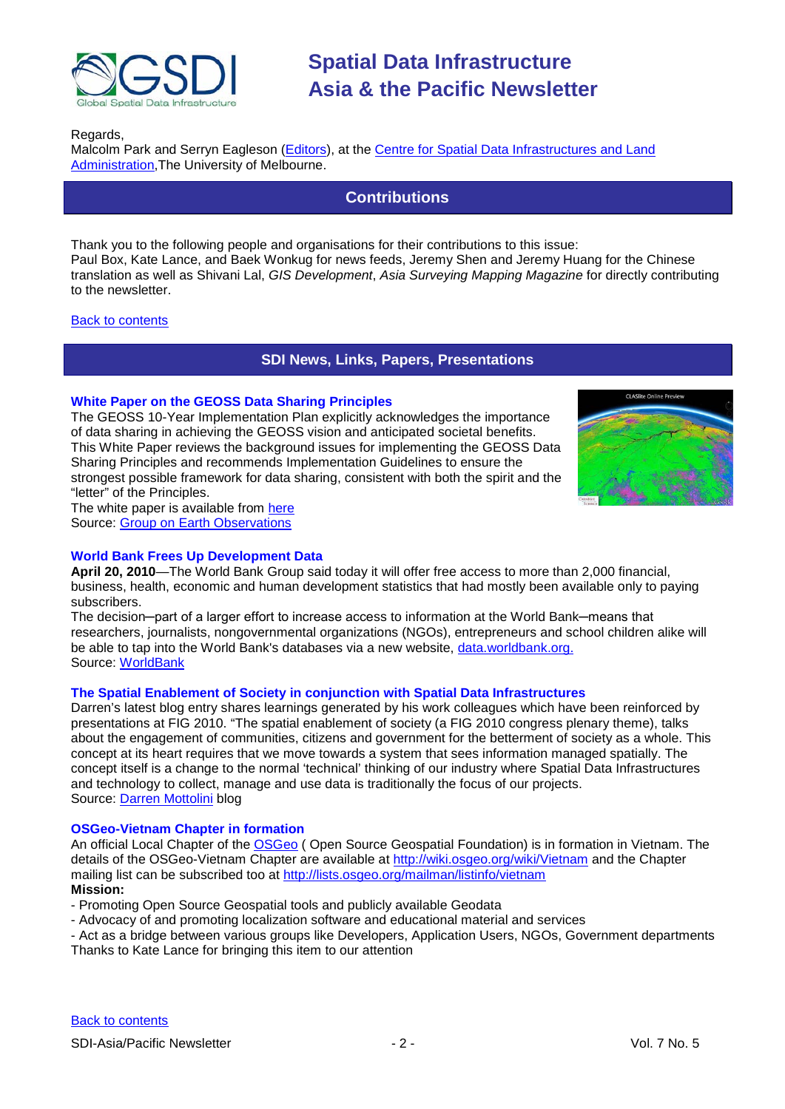

Regards,

<span id="page-1-0"></span>Malcolm Park and Serryn Eagleson [\(Editors\)](mailto:Editor.SDIAP@gmail.com), at the Centre for Spatial Data [Infrastructures and Land](http://www.csdila.unimelb.edu.au/)  [Administration,](http://www.csdila.unimelb.edu.au/)The University of Melbourne.

### **Contributions**

Thank you to the following people and organisations for their contributions to this issue: Paul Box, Kate Lance, and Baek Wonkug for news feeds, Jeremy Shen and Jeremy Huang for the Chinese translation as well as Shivani Lal, *GIS Development*, *Asia Surveying Mapping Magazine* for directly contributing to the newsletter.

#### <span id="page-1-1"></span>[Back to contents](#page-0-0)

### **SDI News, Links, Papers, Presentations**

#### **White Paper on the GEOSS Data Sharing Principles**

The GEOSS 10-Year Implementation Plan explicitly acknowledges the importance of data sharing in achieving the GEOSS vision and anticipated societal benefits. This White Paper reviews the background issues for implementing the GEOSS Data Sharing Principles and recommends Implementation Guidelines to ensure the strongest possible framework for data sharing, consistent with both the spirit and the "letter" of the Principles.



The white paper is available from [here](http://www.earthobservations.org/documents/dsp/Draft%20White%20Paper%20for%20GEOSS%20Data%20Sharing%20Policies_27Sept08.pdf) Source: [Group on Earth Observations](http://www.earthobservations.org/)

#### **World Bank Frees Up Development Data**

**April 20, 2010**—The World Bank Group said today it will offer free access to more than 2,000 financial, business, health, economic and human development statistics that had mostly been available only to paying subscribers.

The decision—part of a larger effort to increase access to information at the World Bank—means that researchers, journalists, nongovernmental organizations (NGOs), entrepreneurs and school children alike will be able to tap into the World Bank's databases via a new website, [data.worldbank.org.](http://data.worldbank.org/) Source: [WorldBank](http://web.worldbank.org/WBSITE/EXTERNAL/NEWS/0,,contentMDK:22547256~pagePK:64257043~piPK:437376~theSitePK:4607,00.html)

#### **The Spatial Enablement of Society in conjunction with Spatial Data Infrastructures**

Darren's latest blog entry shares learnings generated by his work colleagues which have been reinforced by presentations at FIG 2010. "The spatial enablement of society (a FIG 2010 congress plenary theme), talks about the engagement of communities, citizens and government for the betterment of society as a whole. This concept at its heart requires that we move towards a system that sees information managed spatially. The concept itself is a change to the normal 'technical' thinking of our industry where Spatial Data Infrastructures and technology to collect, manage and use data is traditionally the focus of our projects. Source: [Darren Mottolini](http://www.openforum.com.au/content/spatial-enablement-society-conjunction-spatial-data-infrastructures) blog

#### **OSGeo-Vietnam Chapter in formation**

An official Local Chapter of the **OSGeo** (Open Source Geospatial Foundation) is in formation in Vietnam. The details of the OSGeo-Vietnam Chapter are available at <http://wiki.osgeo.org/wiki/Vietnam> and the Chapter mailing list can be subscribed too at<http://lists.osgeo.org/mailman/listinfo/vietnam> **Mission:**

- Promoting Open Source Geospatial tools and publicly available Geodata
- Advocacy of and promoting localization software and educational material and services

- Act as a bridge between various groups like Developers, Application Users, NGOs, Government departments

Thanks to Kate Lance for bringing this item to our attention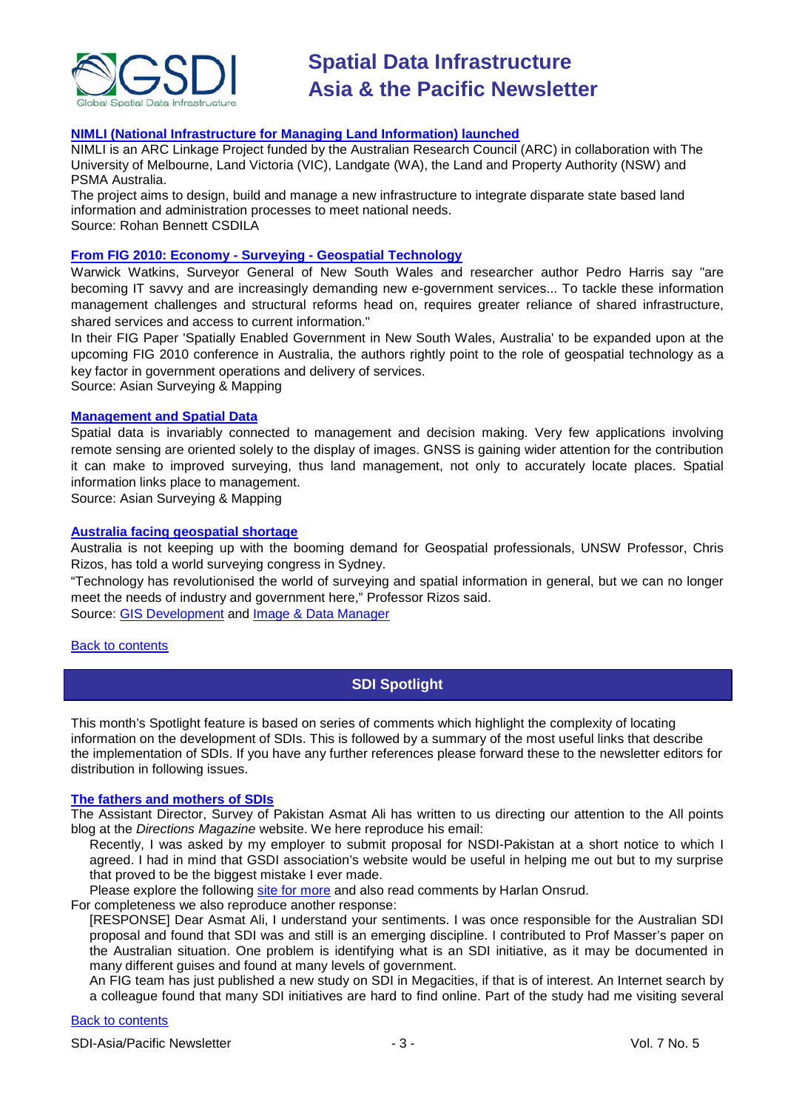

#### **[NIMLI \(National Infrastructure for Managing Land Information\) launched](http://blogs.unimelb.edu.au/nimli/)**

NIMLI is an ARC Linkage Project funded by the Australian Research Council (ARC) in collaboration with The University of Melbourne, Land Victoria (VIC), Landgate (WA), the Land and Property Authority (NSW) and PSMA Australia.

The project aims to design, build and manage a new infrastructure to integrate disparate state based land information and administration processes to meet national needs. Source: Rohan Bennett CSDILA

#### **[From FIG 2010: Economy -](http://asmmag.com/features/economy-surveying-geospatial-technology-) Surveying - Geospatial Technology**

Warwick Watkins, Surveyor General of New South Wales and researcher author Pedro Harris say "are becoming IT savvy and are increasingly demanding new e-government services... To tackle these information management challenges and structural reforms head on, requires greater reliance of shared infrastructure, shared services and access to current information."

In their FIG Paper 'Spatially Enabled Government in New South Wales, Australia' to be expanded upon at the upcoming FIG 2010 conference in Australia, the authors rightly point to the role of geospatial technology as a key factor in government operations and delivery of services.

Source: Asian Surveying & Mapping

#### **[Management and Spatial Data](http://asmmag.com/features/management-and-spatial-data-go-together)**

Spatial data is invariably connected to management and decision making. Very few applications involving remote sensing are oriented solely to the display of images. GNSS is gaining wider attention for the contribution it can make to improved surveying, thus land management, not only to accurately locate places. Spatial information links place to management.

Source: Asian Surveying & Mapping

#### **[Australia facing geospatial shortage](http://idm.net.au/article/007751-australia-facing-geospatial-shortage)**

Australia is not keeping up with the booming demand for Geospatial professionals, UNSW Professor, Chris Rizos, has told a world surveying congress in Sydney.

"Technology has revolutionised the world of surveying and spatial information in general, but we can no longer meet the needs of industry and government here," Professor Rizos said. Source: [GIS Development](http://beta.gisdevelopment.net/index.php?option=com_content&view=article&id=17317%3Aaustralia-facing-shortage-of-geospatial-professionals&catid=77%3Amiscellaneous-education&Itemid=1) and [Image & Data Manager](http://idm.net.au/)

#### <span id="page-2-0"></span>[Back to contents](#page-0-0)

### **SDI Spotlight**

This month's Spotlight feature is based on series of comments which highlight the complexity of locating information on the development of SDIs. This is followed by a summary of the most useful links that describe the implementation of SDIs. If you have any further references please forward these to the newsletter editors for distribution in following issues.

#### **[The fathers and mothers of SDIs](http://apb.directionsmag.com/archives/7685-The-fathers-and-mothers-of-SDIs.html)**

The Assistant Director, Survey of Pakistan Asmat Ali has written to us directing our attention to the All points blog at the *Directions Magazine* website. We here reproduce his email:

Recently, I was asked by my employer to submit proposal for NSDI-Pakistan at a short notice to which I agreed. I had in mind that GSDI association's website would be useful in helping me out but to my surprise that proved to be the biggest mistake I ever made.

Please explore the following [site for more](http://apb.directionsmag.com/archives/7685-The-fathers-and-mothers-of-SDIs.html) and also read comments by Harlan Onsrud.

For completeness we also reproduce another response:

[RESPONSE] Dear Asmat Ali, I understand your sentiments. I was once responsible for the Australian SDI proposal and found that SDI was and still is an emerging discipline. I contributed to Prof Masser's paper on the Australian situation. One problem is identifying what is an SDI initiative, as it may be documented in many different guises and found at many levels of government.

An FIG team has just published a new study on SDI in Megacities, if that is of interest. An Internet search by a colleague found that many SDI initiatives are hard to find online. Part of the study had me visiting several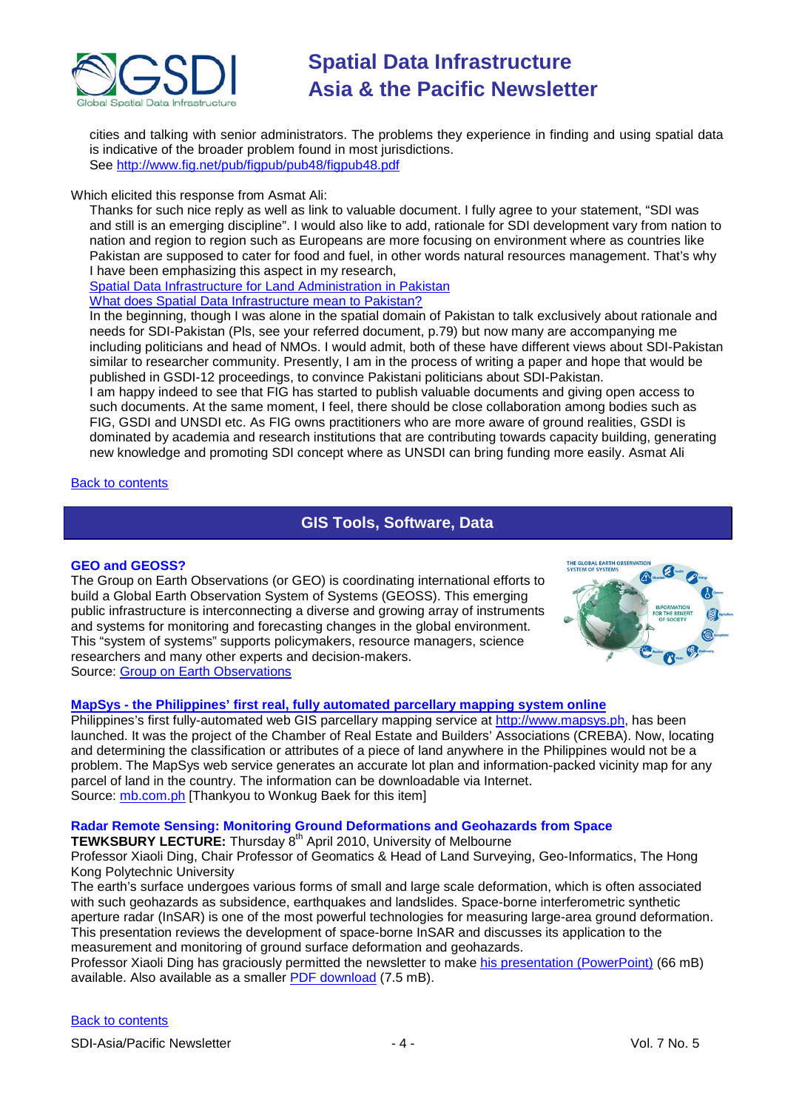

cities and talking with senior administrators. The problems they experience in finding and using spatial data is indicative of the broader problem found in most jurisdictions. See<http://www.fig.net/pub/figpub/pub48/figpub48.pdf>

#### Which elicited this response from Asmat Ali:

Thanks for such nice reply as well as link to valuable document. I fully agree to your statement, "SDI was and still is an emerging discipline". I would also like to add, rationale for SDI development vary from nation to nation and region to region such as Europeans are more focusing on environment where as countries like Pakistan are supposed to cater for food and fuel, in other words natural resources management. That's why I have been emphasizing this aspect in my research,

[Spatial Data Infrastructure for Land Administration in Pakistan](http://www.fig.net/pub/vietnam/papers/ts01d/ts01d_ali_3571.pdf) [What does Spatial Data Infrastructure mean to Pakistan?](http://www.gsdi.org/gsdiconf/gsdi11/papers/pdf/2.pdf)

In the beginning, though I was alone in the spatial domain of Pakistan to talk exclusively about rationale and needs for SDI-Pakistan (Pls, see your referred document, p.79) but now many are accompanying me including politicians and head of NMOs. I would admit, both of these have different views about SDI-Pakistan similar to researcher community. Presently, I am in the process of writing a paper and hope that would be published in GSDI-12 proceedings, to convince Pakistani politicians about SDI-Pakistan.

I am happy indeed to see that FIG has started to publish valuable documents and giving open access to such documents. At the same moment, I feel, there should be close collaboration among bodies such as FIG, GSDI and UNSDI etc. As FIG owns practitioners who are more aware of ground realities, GSDI is dominated by academia and research institutions that are contributing towards capacity building, generating new knowledge and promoting SDI concept where as UNSDI can bring funding more easily. Asmat Ali

<span id="page-3-0"></span>[Back to contents](#page-0-0)

### **GIS Tools, Software, Data**

#### **GEO and GEOSS?**

The Group on Earth Observations (or GEO) is coordinating international efforts to build a Global Earth Observation System of Systems (GEOSS). This emerging public infrastructure is interconnecting a diverse and growing array of instruments and systems for monitoring and forecasting changes in the global environment. This "system of systems" supports policymakers, resource managers, science researchers and many other experts and decision-makers. Source: [Group on Earth Observations](http://www.earthobservations.org/)



#### **MapSys - [the Philippines' first real, fully automated parcellary mapping system online](http://www.mapsys.ph/)**

Philippines's first fully-automated web GIS parcellary mapping service at [http://www.mapsys.ph,](http://www.mapsys.ph/) has been launched. It was the project of the Chamber of Real Estate and Builders' Associations (CREBA). Now, locating and determining the classification or attributes of a piece of land anywhere in the Philippines would not be a problem. The MapSys web service generates an accurate lot plan and information-packed vicinity map for any parcel of land in the country. The information can be downloadable via Internet. Source: mb.com.ph [Thankyou to Wonkug Baek for this item]

#### **Radar Remote Sensing: Monitoring Ground Deformations and Geohazards from Space**

**TEWKSBURY LECTURE:** Thursday 8<sup>th</sup> April 2010, University of Melbourne

Professor Xiaoli Ding, Chair Professor of Geomatics & Head of Land Surveying, Geo-Informatics, The Hong Kong Polytechnic University

The earth's surface undergoes various forms of small and large scale deformation, which is often associated with such geohazards as subsidence, earthquakes and landslides. Space-borne interferometric synthetic aperture radar (InSAR) is one of the most powerful technologies for measuring large-area ground deformation. This presentation reviews the development of space-borne InSAR and discusses its application to the measurement and monitoring of ground surface deformation and geohazards.

Professor Xiaoli Ding has graciously permitted the newsletter to make [his presentation \(PowerPoint\)](http://www.csdila.unimelb.edu.au/SDI_APstore/Tewkesbury.ppt) (66 mB) available. Also available as a smaller [PDF download](http://www.csdila.unimelb.edu.au/SDI_APstore/Tewkesbury.pdf) (7.5 mB).

#### [Back to contents](#page-0-0)

SDI-Asia/Pacific Newsletter  $\overline{a}$  - 4 -  $\overline{a}$  - Vol. 7 No. 5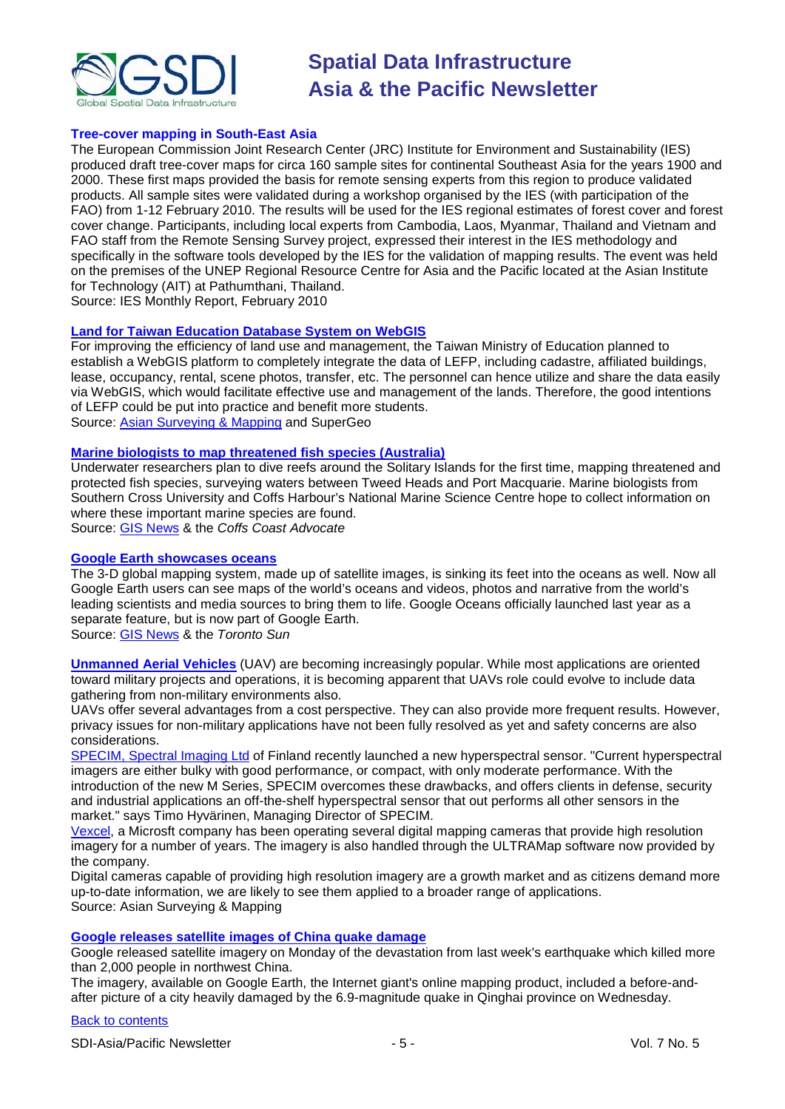

#### **Tree-cover mapping in South-East Asia**

The European Commission Joint Research Center (JRC) Institute for Environment and Sustainability (IES) produced draft tree-cover maps for circa 160 sample sites for continental Southeast Asia for the years 1900 and 2000. These first maps provided the basis for remote sensing experts from this region to produce validated products. All sample sites were validated during a workshop organised by the IES (with participation of the FAO) from 1-12 February 2010. The results will be used for the IES regional estimates of forest cover and forest cover change. Participants, including local experts from Cambodia, Laos, Myanmar, Thailand and Vietnam and FAO staff from the Remote Sensing Survey project, expressed their interest in the IES methodology and specifically in the software tools developed by the IES for the validation of mapping results. The event was held on the premises of the UNEP Regional Resource Centre for Asia and the Pacific located at the Asian Institute for Technology (AIT) at Pathumthani, Thailand.

Source: IES Monthly Report, February 2010

#### **[Land for Taiwan Education Database System on WebGIS](http://www.supergeotek.com/Library_2_201004_3.aspx)**

For improving the efficiency of land use and management, the Taiwan Ministry of Education planned to establish a WebGIS platform to completely integrate the data of LEFP, including cadastre, affiliated buildings, lease, occupancy, rental, scene photos, transfer, etc. The personnel can hence utilize and share the data easily via WebGIS, which would facilitate effective use and management of the lands. Therefore, the good intentions of LEFP could be put into practice and benefit more students. Source: [Asian Surveying & Mapping](http://asmmag.com/news/land-for-taiwan-education-database-system-on-webgis-) and SuperGeo

#### **[Marine biologists to map threatened fish species \(Australia\)](http://www.coffscoastadvocate.com.au/story/2010/04/09/be-a-devil-take-part-in-a-survey/)**

Underwater researchers plan to dive reefs around the Solitary Islands for the first time, mapping threatened and protected fish species, surveying waters between Tweed Heads and Port Macquarie. Marine biologists from Southern Cross University and Coffs Harbour's National Marine Science Centre hope to collect information on where these important marine species are found.

Source: [GIS News](http://gisdevelopment.net/news/viewn.asp?id=GIS:N_pblfxymjci) & the *Coffs Coast Advocate*

#### **[Google Earth showcases oceans](http://www.torontosun.com/news/world/2010/04/08/13511331.html)**

The 3-D global mapping system, made up of satellite images, is sinking its feet into the oceans as well. Now all Google Earth users can see maps of the world's oceans and videos, photos and narrative from the world's leading scientists and media sources to bring them to life. Google Oceans officially launched last year as a separate feature, but is now part of Google Earth.

Source: [GIS News](http://gisdevelopment.net/news/viewn.asp?id=GIS:N_ctubvnpjwz) & the *Toronto Sun*

**[Unmanned Aerial Vehicles](http://asmmag.com/news/is-a-uav-coming-to-your-neighborhood-)** (UAV) are becoming increasingly popular. While most applications are oriented toward military projects and operations, it is becoming apparent that UAVs role could evolve to include data gathering from non-military environments also.

UAVs offer several advantages from a cost perspective. They can also provide more frequent results. However, privacy issues for non-military applications have not been fully resolved as yet and safety concerns are also considerations.

[SPECIM, Spectral Imaging Ltd](http://www.specim.fi/) of Finland recently launched a new hyperspectral sensor. "Current hyperspectral imagers are either bulky with good performance, or compact, with only moderate performance. With the introduction of the new M Series, SPECIM overcomes these drawbacks, and offers clients in defense, security and industrial applications an off-the-shelf hyperspectral sensor that out performs all other sensors in the market." says Timo Hyvärinen, Managing Director of SPECIM.

[Vexcel,](http://www.microsoft.com/ultracam/en-us/default.aspx) a Microsft company has been operating several digital mapping cameras that provide high resolution imagery for a number of years. The imagery is also handled through the ULTRAMap software now provided by the company.

Digital cameras capable of providing high resolution imagery are a growth market and as citizens demand more up-to-date information, we are likely to see them applied to a broader range of applications. Source: Asian Surveying & Mapping

#### **[Google releases satellite images of China quake damage](http://www.google.com/hostednews/afp/article/ALeqM5hquKrbmjfX03H8bvcsbIYHWVV7XA)**

Google released satellite imagery on Monday of the devastation from last week's earthquake which killed more than 2,000 people in northwest China.

The imagery, available on Google Earth, the Internet giant's online mapping product, included a before-andafter picture of a city heavily damaged by the 6.9-magnitude quake in Qinghai province on Wednesday.

#### [Back to contents](#page-0-0)

SDI-Asia/Pacific Newsletter  $\overline{5}$  - 5 -  $\overline{5}$  - Vol. 7 No. 5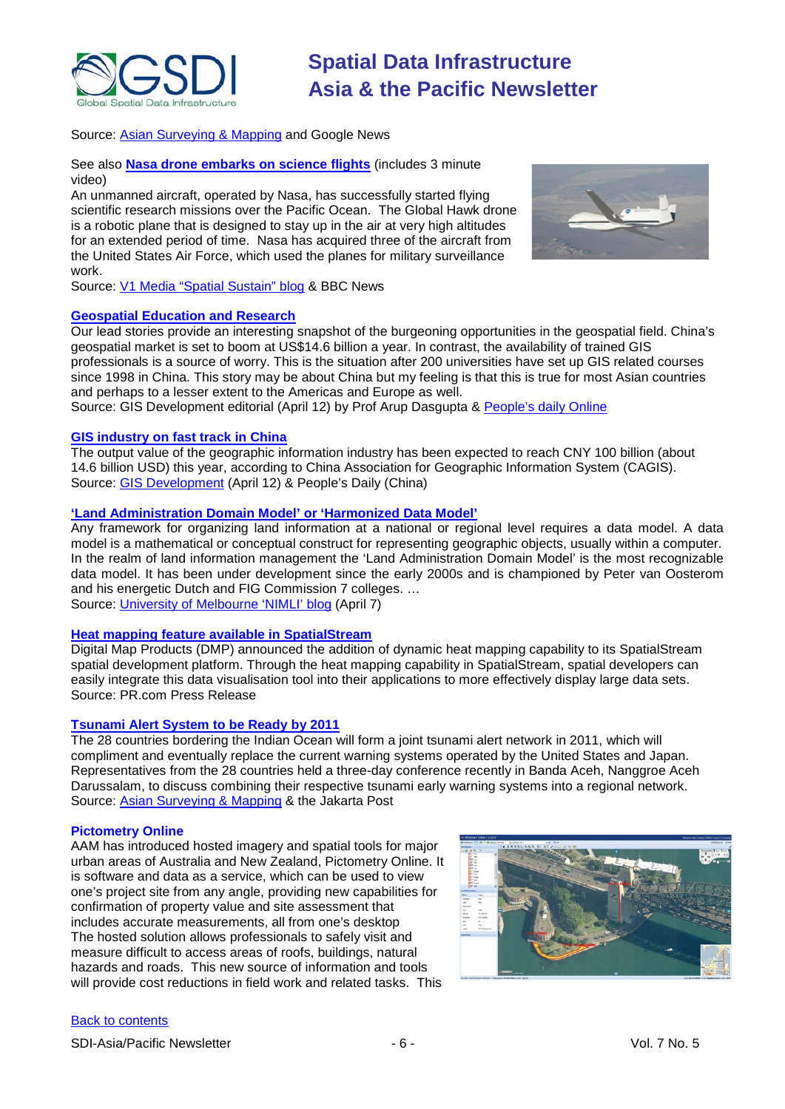

Source: [Asian Surveying & Mapping](http://asmmag.com/news/google-posts-before-and-after-satellite-images-of-china-quake) and Google News

See also **[Nasa drone embarks on science flights](http://news.bbc.co.uk/2/hi/science/nature/8620742.stm)** (includes 3 minute video)

An unmanned aircraft, operated by Nasa, has successfully started flying scientific research missions over the Pacific Ocean. The Global Hawk drone is a robotic plane that is designed to stay up in the air at very high altitudes for an extended period of time. Nasa has acquired three of the aircraft from the United States Air Force, which used the planes for military surveillance work.



Source: [V1 Media "Spatial Sustain" blog](http://vector1media.com/spatialsustain/nasas-global-hawk-now-flying-for-science.html) & BBC News

#### **[Geospatial Education and Research](http://www.gisdevelopment.net/ezine/weekly/apr1210.htm)**

Our lead stories provide an interesting snapshot of the burgeoning opportunities in the geospatial field. China's geospatial market is set to boom at US\$14.6 billion a year. In contrast, the availability of trained GIS professionals is a source of worry. This is the situation after 200 universities have set up GIS related courses since 1998 in China. This story may be about China but my feeling is that this is true for most Asian countries and perhaps to a lesser extent to the Americas and Europe as well.

Source: GIS Development editorial (April 12) by Prof Arup Dasgupta & [People's daily Online](http://english.peopledaily.com.cn/90001/90776/90882/6940612.html)

#### **[GIS industry on fast track in China](http://english.peopledaily.com.cn/90001/90776/90882/6940612.html)**

The output value of the geographic information industry has been expected to reach CNY 100 billion (about 14.6 billion USD) this year, according to China Association for Geographic Information System (CAGIS). Source: [GIS Development](http://beta.gisdevelopment.net/index.php?option=com_content&view=article&id=17236%3Agis-industry-on-fast-track-in-china&catid=67%3Abusiness-general&Itemid=1) (April 12) & People's Daily (China)

#### **'Land Administration Domain Model' or 'Harmonized Data Model'**

Any framework for organizing land information at a national or regional level requires a data model. A data model is a mathematical or conceptual construct for representing geographic objects, usually within a computer. In the realm of land information management the 'Land Administration Domain Model' is the most recognizable data model. It has been under development since the early 2000s and is championed by Peter van Oosterom and his energetic Dutch and FIG Commission 7 colleges. … Source: [University of Melbourne 'NIMLI' blog](http://blogs.unimelb.edu.au/nimli/2010/04/07/land-administration-domain-model-or-harmonized-data-model/) (April 7)

#### **[Heat mapping feature available in SpatialStream](http://www.pr.com/press-release/224354)**

Digital Map Products (DMP) announced the addition of dynamic heat mapping capability to its SpatialStream spatial development platform. Through the heat mapping capability in SpatialStream, spatial developers can easily integrate this data visualisation tool into their applications to more effectively display large data sets. Source: PR.com Press Release

#### **[Tsunami Alert System to be Ready by 2011](http://www.thejakartapost.com/news/2010/04/17/tsunami-alert-system-be-ready-2011.html)**

The 28 countries bordering the Indian Ocean will form a joint tsunami alert network in 2011, which will compliment and eventually replace the current warning systems operated by the United States and Japan. Representatives from the 28 countries held a three-day conference recently in Banda Aceh, Nanggroe Aceh Darussalam, to discuss combining their respective tsunami early warning systems into a regional network. Source: [Asian Surveying & Mapping](http://asmmag.com/news/tsunami-alert-system-to-be-ready-by-2011) & the Jakarta Post

#### **Pictometry Online**

AAM has introduced hosted imagery and spatial tools for major urban areas of Australia and New Zealand, Pictometry Online. It is software and data as a service, which can be used to view one's project site from any angle, providing new capabilities for confirmation of property value and site assessment that includes accurate measurements, all from one's desktop The hosted solution allows professionals to safely visit and measure difficult to access areas of roofs, buildings, natural hazards and roads. This new source of information and tools will provide cost reductions in field work and related tasks. This

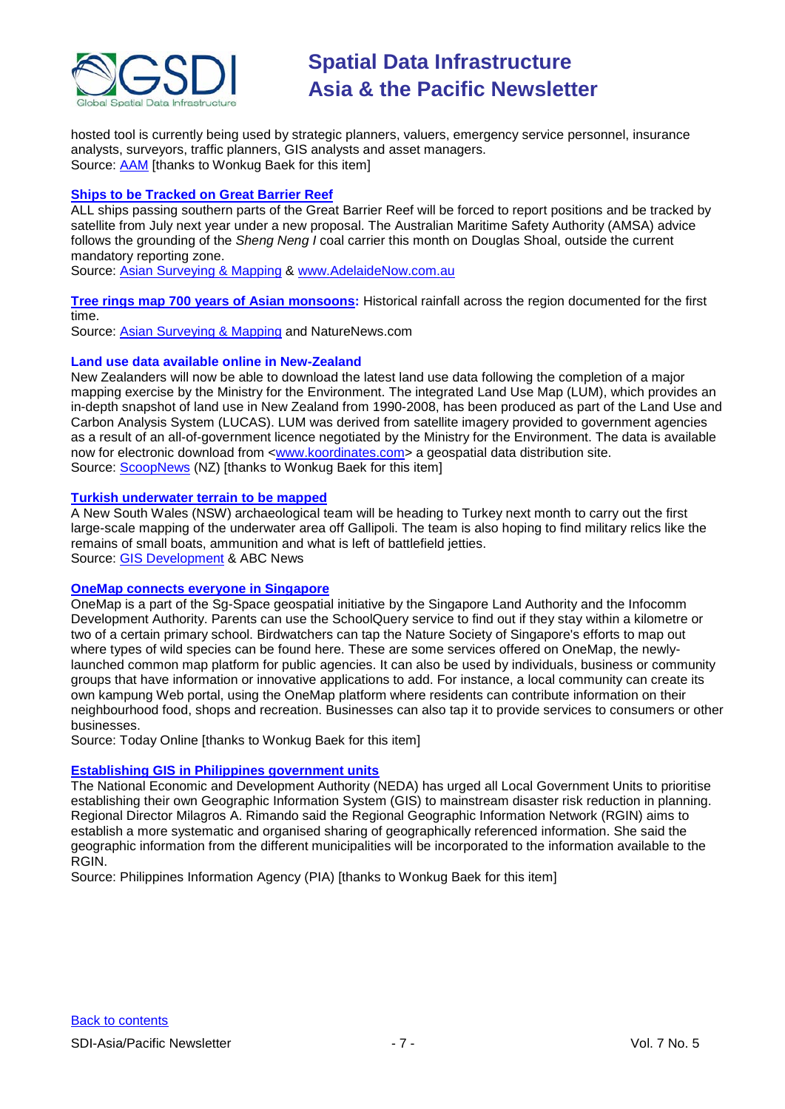

hosted tool is currently being used by strategic planners, valuers, emergency service personnel, insurance analysts, surveyors, traffic planners, GIS analysts and asset managers. Sourc[e: AAM](http://www.aamgroup.com/products/pictometry-online.cfm) [thanks to Wonkug Baek for this item]

#### **Ships to be Tracked [on Great Barrier Reef](http://www.adelaidenow.com.au/news/breaking-news/ships-to-be-tracked-on-great-barrier-reef/story-e6frea7l-1225855138374)**

ALL ships passing southern parts of the Great Barrier Reef will be forced to report positions and be tracked by satellite from July next year under a new proposal. The Australian Maritime Safety Authority (AMSA) advice follows the grounding of the *Sheng Neng I* coal carrier this month on Douglas Shoal, outside the current mandatory reporting zone.

Source: [Asian Surveying & Mapping](http://asmmag.com/news/ships-to-be-tracked-on-great-barrier-reef) & [www.AdelaideNow.com.au](http://www.adelaidenow.com.au/)

**[Tree rings map 700 years of Asian monsoons:](http://www.nature.com/news/2010/100422/full/news.2010.196.html)** Historical rainfall across the region documented for the first time.

Source: [Asian Surveying & Mapping](http://asmmag.com/news/tree-rings-map-700-years-of-asian-monsoon) and NatureNews.com

#### **Land use data available online in New-Zealand**

New Zealanders will now be able to download the latest land use data following the completion of a major mapping exercise by the Ministry for the Environment. The integrated Land Use Map (LUM), which provides an in-depth snapshot of land use in New Zealand from 1990-2008, has been produced as part of the Land Use and Carbon Analysis System (LUCAS). LUM was derived from satellite imagery provided to government agencies as a result of an all-of-government licence negotiated by the Ministry for the Environment. The data is available now for electronic download from [<www.koordinates.com>](http://www.koordinates.com/) a geospatial data distribution site. Source: [ScoopNews](http://www.scoop.co.nz/stories/PO1004/S00254.htm) (NZ) [thanks to Wonkug Baek for this item]

#### **[Turkish underwater terrain to be mapped](http://www.abc.net.au/news/stories/2010/04/23/2881338.htm?section=justin)**

A New South Wales (NSW) archaeological team will be heading to Turkey next month to carry out the first large-scale mapping of the underwater area off Gallipoli. The team is also hoping to find military relics like the remains of small boats, ammunition and what is left of battlefield jetties. Source: [GIS Development](http://beta.gisdevelopment.net/index.php?option=com_content&view=article&id=17385%3Aturkish-underwater-terrain-to-be-mapped&catid=47%3Aproduct-surveying-mapping&Itemid=1) & ABC News

#### **[OneMap connects everyone in Singapore](http://www.todayonline.com/Singapore/Singaporeroundup/EDC100401-0000087/OneMap-to-connect-everyone-in-Spore)**

OneMap is a part of the Sg-Space geospatial initiative by the Singapore Land Authority and the Infocomm Development Authority. Parents can use the SchoolQuery service to find out if they stay within a kilometre or two of a certain primary school. Birdwatchers can tap the Nature Society of Singapore's efforts to map out where types of wild species can be found here. These are some services offered on OneMap, the newlylaunched common map platform for public agencies. It can also be used by individuals, business or community groups that have information or innovative applications to add. For instance, a local community can create its own kampung Web portal, using the OneMap platform where residents can contribute information on their neighbourhood food, shops and recreation. Businesses can also tap it to provide services to consumers or other businesses.

Source: Today Online [thanks to Wonkug Baek for this item]

#### **[Establishing GIS in Philippines government units](http://www.pia.gov.ph/default.asp?m=12&r=&y=&mo=&fi=p100426.htm&no=56)**

The National Economic and Development Authority (NEDA) has urged all Local Government Units to prioritise establishing their own Geographic Information System (GIS) to mainstream disaster risk reduction in planning. Regional Director Milagros A. Rimando said the Regional Geographic Information Network (RGIN) aims to establish a more systematic and organised sharing of geographically referenced information. She said the geographic information from the different municipalities will be incorporated to the information available to the RGIN.

Source: Philippines Information Agency (PIA) [thanks to Wonkug Baek for this item]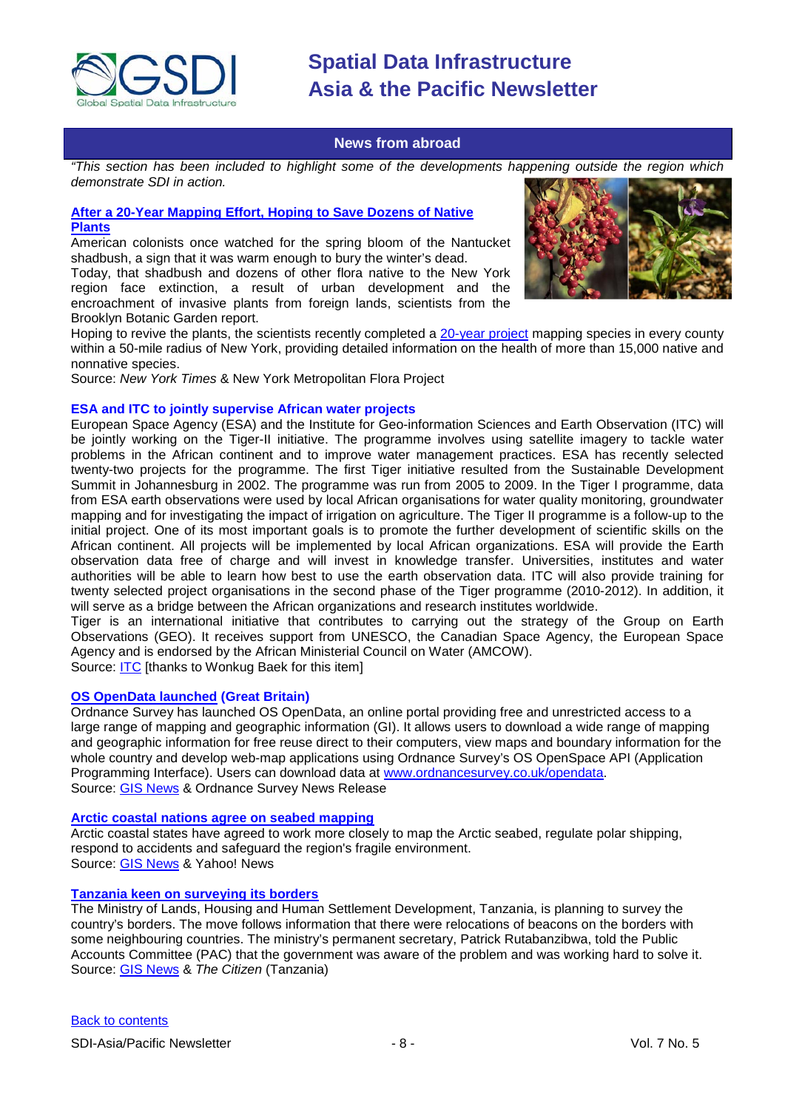

#### **News from abroad**

<span id="page-7-0"></span>*"This section has been included to highlight some of the developments happening outside the region which demonstrate SDI in action.*

### **[After a 20-Year Mapping Effort, Hoping to Save Dozens of Native](http://www.nytimes.com/2010/04/03/nyregion/03flora.html?hpw)  [Plants](http://www.nytimes.com/2010/04/03/nyregion/03flora.html?hpw)**

American colonists once watched for the spring bloom of the Nantucket shadbush, a sign that it was warm enough to bury the winter's dead.

Today, that shadbush and dozens of other flora native to the New York region face extinction, a result of urban development and the encroachment of invasive plants from foreign lands, scientists from the Brooklyn Botanic Garden report.



Hoping to revive the plants, the scientists recently completed a [20-year project](http://www.bbg.org/sci/nymf/) mapping species in every county within a 50-mile radius of New York, providing detailed information on the health of more than 15,000 native and nonnative species.

Source: *New York Times* & New York Metropolitan Flora Project

#### **ESA and ITC to jointly supervise African water projects**

European Space Agency (ESA) and the Institute for Geo-information Sciences and Earth Observation (ITC) will be jointly working on the Tiger-II initiative. The programme involves using satellite imagery to tackle water problems in the African continent and to improve water management practices. ESA has recently selected twenty-two projects for the programme. The first Tiger initiative resulted from the Sustainable Development Summit in Johannesburg in 2002. The programme was run from 2005 to 2009. In the Tiger I programme, data from ESA earth observations were used by local African organisations for water quality monitoring, groundwater mapping and for investigating the impact of irrigation on agriculture. The Tiger II programme is a follow-up to the initial project. One of its most important goals is to promote the further development of scientific skills on the African continent. All projects will be implemented by local African organizations. ESA will provide the Earth observation data free of charge and will invest in knowledge transfer. Universities, institutes and water authorities will be able to learn how best to use the earth observation data. ITC will also provide training for twenty selected project organisations in the second phase of the Tiger programme (2010-2012). In addition, it will serve as a bridge between the African organizations and research institutes worldwide.

Tiger is an international initiative that contributes to carrying out the strategy of the Group on Earth Observations (GEO). It receives support from UNESCO, the Canadian Space Agency, the European Space Agency and is endorsed by the African Ministerial Council on Water (AMCOW).

Source: **ITC** [thanks to Wonkug Baek for this item]

#### **[OS OpenData launched](http://www.ordnancesurvey.co.uk/oswebsite/media/news/2010/April/OpenData.html) (Great Britain)**

Ordnance Survey has launched OS OpenData, an online portal providing free and unrestricted access to a large range of mapping and geographic information (GI). It allows users to download a wide range of mapping and geographic information for free reuse direct to their computers, view maps and boundary information for the whole country and develop web-map applications using Ordnance Survey's OS OpenSpace API (Application Programming Interface). Users can download data at [www.ordnancesurvey.co.uk/opendata.](http://www.ordnancesurvey.co.uk/opendata) Source: [GIS News](http://gisdevelopment.net/news/viewn.asp?id=GIS:N_kselhdxqmj&Ezine=apr0510§ion=News) & Ordnance Survey News Release

#### **[Arctic coastal nations agree on seabed mapping](http://news.yahoo.com/s/afp/20100329/wl_afp/canadaarctictalks)**

Arctic coastal states have agreed to work more closely to map the Arctic seabed, regulate polar shipping, respond to accidents and safeguard the region's fragile environment. Source: [GIS News](http://beta.gisdevelopment.net/index.php?option=com_content&view=article&id=17249%3Aarctic-coast-nations-agree-on-seabed-mapping&catid=47%3Aproduct-surveying-mapping&Itemid=1) & Yahoo! News

#### **[Tanzania keen on surveying its borders](http://thecitizen.co.tz/news/4-national-news/1261-some-of-tanzanias-borders-have-been-moved)**

The Ministry of Lands, Housing and Human Settlement Development, Tanzania, is planning to survey the country's borders. The move follows information that there were relocations of beacons on the borders with some neighbouring countries. The ministry's permanent secretary, Patrick Rutabanzibwa, told the Public Accounts Committee (PAC) that the government was aware of the problem and was working hard to solve it. Source: [GIS News](http://gisdevelopment.net/news/viewn.asp?id=GIS:N_qpgzevcsmj) & *The Citizen* (Tanzania)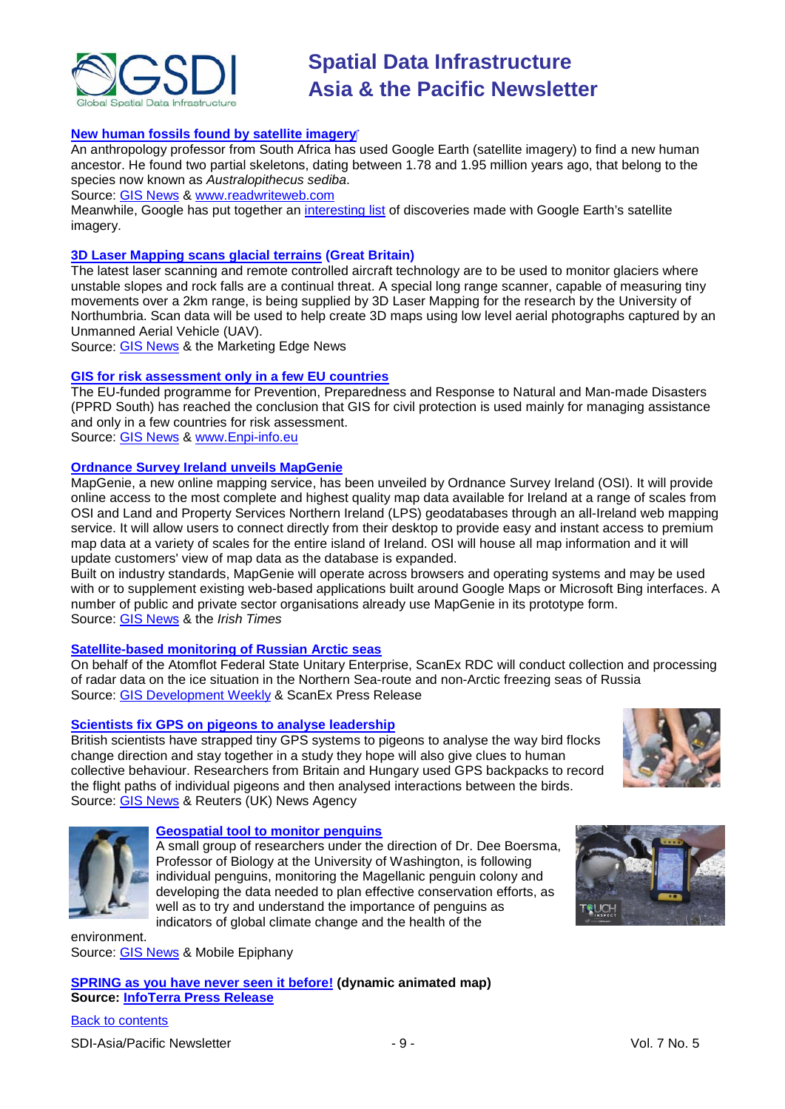

#### **[New human fossils found by satellite imagery](http://www.readwriteweb.com/archives/scientist_uses_google_earth_to_find_ancient_ancest.php)**

An anthropology professor from South Africa has used Google Earth (satellite imagery) to find a new human ancestor. He found two partial skeletons, dating between 1.78 and 1.95 million years ago, that belong to the species now known as *Australopithecus sediba*.

Source: [GIS News](http://gisdevelopment.net/news/viewn.asp?id=GIS:N_gcfnjdyzxr) & [www.readwriteweb.com](http://www.readwriteweb.com/)

Meanwhile, Google has put together an [interesting list](http://sites.google.com/a/pressatgoogle.com/hominid/discoveries) of discoveries made with Google Earth's satellite imagery.

#### **[3D Laser Mapping scans glacial terrains](http://www.themarketingedge.org/news20102.html) (Great Britain)**

The latest laser scanning and remote controlled aircraft technology are to be used to monitor glaciers where unstable slopes and rock falls are a continual threat. A special long range scanner, capable of measuring tiny movements over a 2km range, is being supplied by 3D Laser Mapping for the research by the University of Northumbria. Scan data will be used to help create 3D maps using low level aerial photographs captured by an Unmanned Aerial Vehicle (UAV).

Source: [GIS News](http://gisdevelopment.net/news/viewn.asp?id=GIS:N_jerzofiplc) & the Marketing Edge News

#### **[GIS for risk assessment only in a few EU countries](http://www.enpi-info.eu/mainmed.php?id=21173&id_type=1&lang_id=450)**

The EU-funded programme for Prevention, Preparedness and Response to Natural and Man-made Disasters (PPRD South) has reached the conclusion that GIS for civil protection is used mainly for managing assistance and only in a few countries for risk assessment.

Source: [GIS News](http://gisdevelopment.net/news/viewn.asp?id=GIS:N_vqsmuhpwbr&Ezine=apr0510§ion=News) & [www.Enpi-info.eu](http://www.enpi-info.eu/)

#### **[Ordnance Survey Ireland unveils MapGenie](http://www.irishtimes.com/newspaper/breaking/2010/0330/breaking29.html)**

MapGenie, a new online mapping service, has been unveiled by Ordnance Survey Ireland (OSI). It will provide online access to the most complete and highest quality map data available for Ireland at a range of scales from OSI and Land and Property Services Northern Ireland (LPS) geodatabases through an all-Ireland web mapping service. It will allow users to connect directly from their desktop to provide easy and instant access to premium map data at a variety of scales for the entire island of Ireland. OSI will house all map information and it will update customers' view of map data as the database is expanded.

Built on industry standards, MapGenie will operate across browsers and operating systems and may be used with or to supplement existing web-based applications built around Google Maps or Microsoft Bing interfaces. A number of public and private sector organisations already use MapGenie in its prototype form. Source: [GIS News](http://gisdevelopment.net/news/viewn.asp?id=GIS:N_ekcoimwlfn&Ezine=apr0510§ion=News) & the *Irish Times*

#### **[Satellite-based monitoring of Russian Arctic seas](http://www.scanex.ru/en/news/News_Preview.asp?id=n9743192)**

On behalf of the Atomflot Federal State Unitary Enterprise, ScanEx RDC will conduct collection and processing of radar data on the ice situation in the Northern Sea-route and non-Arctic freezing seas of Russia Source: [GIS Development Weekly](http://beta.gisdevelopment.net/index.php?option=com_content&view=article&id=17265%3Asatellite-based-monitoring-of-russian-arctic-seas&catid=52%3Aapplication-natural-resource-management&Itemid=1) & ScanEx Press Release

#### **[Scientists fix GPS on pigeons to analyse leadership](http://uk.reuters.com/article/idUKTRE6364AL20100407)**

British scientists have strapped tiny GPS systems to pigeons to analyse the way bird flocks change direction and stay together in a study they hope will also give clues to human collective behaviour. Researchers from Britain and Hungary used GPS backpacks to record the flight paths of individual pigeons and then analysed interactions between the birds. Source: [GIS News](http://beta.gisdevelopment.net/index.php?option=com_content&view=article&id=17264%3Ascientists-fix-gps-on-pigeons-to-analyse-leadership&catid=74%3Amiscellaneous-research&Itemid=1) & Reuters (UK) News Agency





#### **[Geospatial tool to monitor penguins](http://www.mobileepiphany.com/penguins)**

A small group of researchers under the direction of Dr. Dee Boersma, Professor of Biology at the University of Washington, is following individual penguins, monitoring the Magellanic penguin colony and developing the data needed to plan effective conservation efforts, as well as to try and understand the importance of penguins as indicators of global climate change and the health of the

environment. Source: [GIS News](http://beta.gisdevelopment.net/index.php?option=com_content&view=article&id=17251%3Ageospatial-tool-to-monitor-penguins&catid=78%3Amiscellaneous-policy&Itemid=1) & Mobile Epiphany

**[SPRING as you have never seen it before!](http://www.infoterra.co.uk/news-spring.php) (dynamic animated map) Source: [InfoTerra Press Release](http://www.infoterra.co.uk/pdfs/Infoterra-Spring_v1.pdf)**



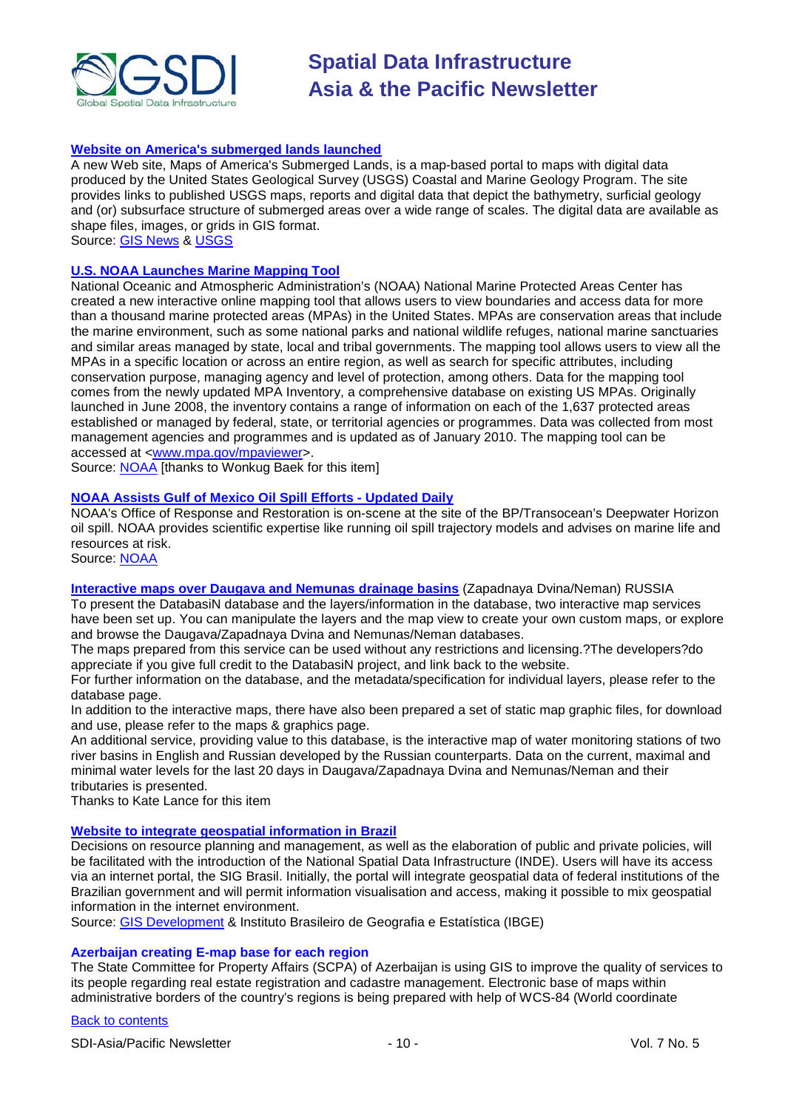

#### **[Website on America's submerged lands launched](http://soundwaves.usgs.gov/2010/03/pubs.html)**

A new Web site, [Maps of America's Submerged Lands,](http://woodshole.er.usgs.gov/data/submergedlands/) is a map-based portal to maps with digital data produced by the United States Geological Survey (USGS) Coastal and Marine Geology Program. The site provides links to published USGS maps, reports and digital data that depict the bathymetry, surficial geology and (or) subsurface structure of submerged areas over a wide range of scales. The digital data are available as shape files, images, or grids in GIS format.

Source: [GIS News](http://beta.gisdevelopment.net/index.php?option=com_content&view=article&id=17258%3Awebsite-on-americas-submerged-lands-launched&catid=49%3Aproduct-data&Itemid=1) & [USGS](http://woodshole.er.usgs.gov/data/submergedlands/)

#### **[U.S. NOAA Launches Marine Mapping Tool](http://www.noaanews.noaa.gov/stories2010/20100330_mapping.html)**

National Oceanic and Atmospheric Administration's (NOAA) National Marine Protected Areas Center has created a new interactive online mapping tool that allows users to view boundaries and access data for more than a thousand marine protected areas (MPAs) in the United States. MPAs are conservation areas that include the marine environment, such as some national parks and national wildlife refuges, national marine sanctuaries and similar areas managed by state, local and tribal governments. The mapping tool allows users to view all the MPAs in a specific location or across an entire region, as well as search for specific attributes, including conservation purpose, managing agency and level of protection, among others. Data for the mapping tool comes from the newly updated MPA Inventory, a comprehensive database on existing US MPAs. Originally launched in June 2008, the inventory contains a range of information on each of the 1,637 protected areas established or managed by federal, state, or territorial agencies or programmes. Data was collected from most management agencies and programmes and is updated as of January 2010. The mapping tool can be accessed at [<www.mpa.gov/mpaviewer>](http://www.mpa.gov/mpaviewer).

Source: [NOAA](http://www.noaa.gov/index.html) [thanks to Wonkug Baek for this item]

#### **[NOAA Assists Gulf of Mexico Oil Spill Efforts -](http://response.restoration.noaa.gov/deepwaterhorizon) Updated Daily**

NOAA's Office of Response and Restoration is on-scene at the site of the BP/Transocean's Deepwater Horizon oil spill. NOAA provides scientific expertise like running oil spill trajectory models and advises on marine life and resources at risk.

Source: [NOAA](http://www.noaa.gov/index.html)

#### **[Interactive maps over Daugava and Nemunas drainage basins](http://enrin.grida.no/databasin/index_imap.cfm)** (Zapadnaya Dvina/Neman) RUSSIA

To present the DatabasiN database and the layers/information in the database, two interactive map services have been set up. You can manipulate the layers and the map view to create your own custom maps, or explore and browse the Daugava/Zapadnaya Dvina and Nemunas/Neman databases.

The maps prepared from this service can be used without any restrictions and licensing.?The developers?do appreciate if you give full credit to the DatabasiN project, and link back to the website.

For further information on the database, and the metadata/specification for individual layers, please refer to the database page.

In addition to the interactive maps, there have also been prepared a set of static map graphic files, for download and use, please refer to the maps & graphics page.

An additional service, providing value to this database, is the interactive map of water monitoring stations of two river basins in English and Russian developed by the Russian counterparts. Data on the current, maximal and minimal water levels for the last 20 days in Daugava/Zapadnaya Dvina and Nemunas/Neman and their tributaries is presented.

Thanks to Kate Lance for this item

#### **[Website to integrate geospatial information in Brazil](http://www.ibge.gov.br/english/presidencia/noticias/noticia_visualiza.php?id_noticia=1587&id_pagina=1)**

Decisions on resource planning and management, as well as the elaboration of public and private policies, will be facilitated with the introduction of the National Spatial Data Infrastructure (INDE). Users will have its access via an internet portal, the SIG Brasil. Initially, the portal will integrate geospatial data of federal institutions of the Brazilian government and will permit information visualisation and access, making it possible to mix geospatial information in the internet environment.

Source: [GIS Development](http://beta.gisdevelopment.net/index.php?option=com_content&view=article&id=17286%3Ainternet-portal-to-integrate-geospatial-information-in-brazil&catid=49%3Aproduct-data&Itemid=1) & Instituto Brasileiro de Geografia e Estatística (IBGE)

#### **Azerbaijan creating E-map base for each region**

The State Committee for Property Affairs (SCPA) of Azerbaijan is using GIS to improve the quality of services to its people regarding real estate registration and cadastre management. Electronic base of maps within administrative borders of the country's regions is being prepared with help of WCS-84 (World coordinate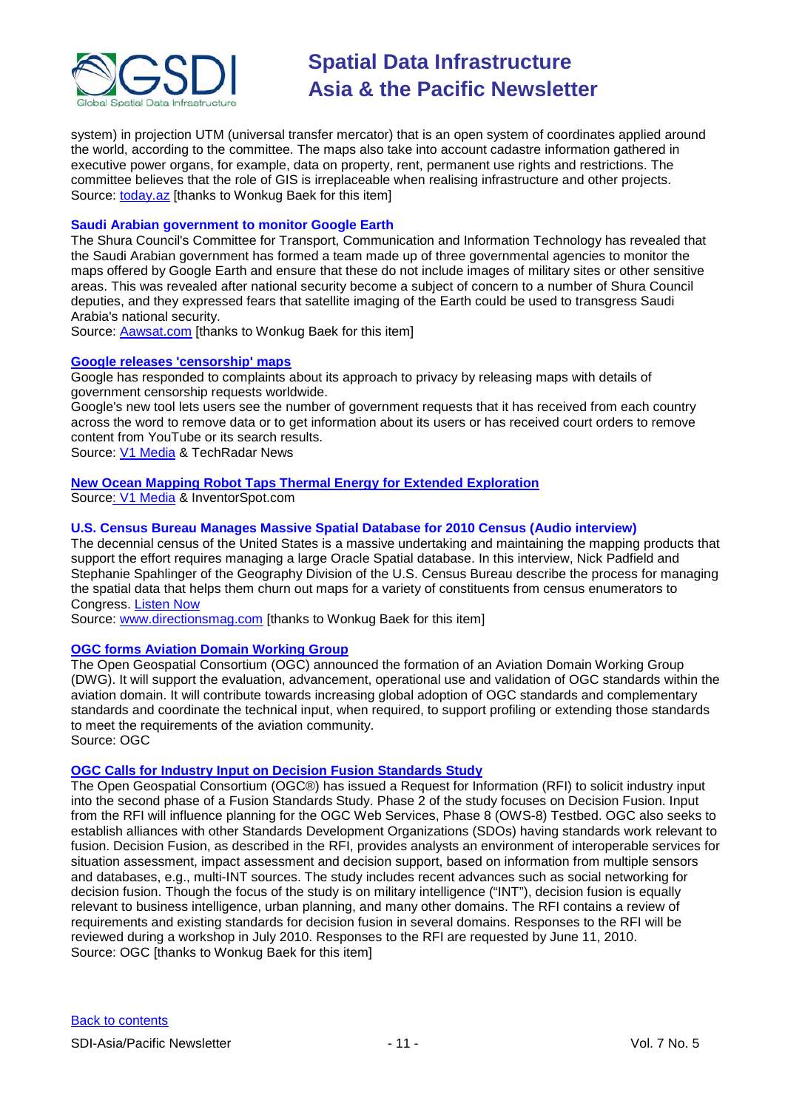

system) in projection UTM (universal transfer mercator) that is an open system of coordinates applied around the world, according to the committee. The maps also take into account cadastre information gathered in executive power organs, for example, data on property, rent, permanent use rights and restrictions. The committee believes that the role of GIS is irreplaceable when realising infrastructure and other projects. Source: [today.az](http://www.today.az/news/society/65698.html) [thanks to Wonkug Baek for this item]

#### **Saudi Arabian government to monitor Google Earth**

The Shura Council's Committee for Transport, Communication and Information Technology has revealed that the Saudi Arabian government has formed a team made up of three governmental agencies to monitor the maps offered by Google Earth and ensure that these do not include images of military sites or other sensitive areas. This was revealed after national security become a subject of concern to a number of Shura Council deputies, and they expressed fears that satellite imaging of the Earth could be used to transgress Saudi Arabia's national security.

Source: [Aawsat.com](http://aawsat.com/english/news.asp?section=1&id=20587) [thanks to Wonkug Baek for this item]

#### **[Google releases 'censorship' maps](http://www.techradar.com/news/internet/google-releases-new-government-censorship-maps-684821#ixzz0likf5jqK)**

Google has responded to complaints about its approach to privacy by releasing maps with details of government censorship requests worldwide.

Google's new tool lets users see the number of government requests that it has received from each country across the word to remove data or to get information about its users or has received court orders to remove content from YouTube or its search results.

Source: [V1 Media](http://www.vector1media.com/resources/toolbox/12607-google-releases-censorship-maps) & TechRadar News

#### **New Ocean [Mapping Robot Taps Thermal Energy for Extended Exploration](http://inventorspot.com/articles/new_thermal_charging_system_offer_infinite_life_ocean_mapping_ro_40158)**

Sourc[e: V1 Media](http://www.vector1media.com/news/headlines/12515-new-ocean-mapping-robot-taps-thermal-energy-for-extended-exploration) & InventorSpot.com

#### **U.S. Census Bureau Manages Massive Spatial Database for 2010 Census (Audio interview)**

The decennial census of the United States is a massive undertaking and maintaining the mapping products that support the effort requires managing a large Oracle Spatial database. In this interview, Nick Padfield and Stephanie Spahlinger of the Geography Division of the U.S. Census Bureau describe the process for managing the spatial data that helps them churn out maps for a variety of constituents from census enumerators to Congress. [Listen Now](http://www.directionsmag.com/article.php?article_id=3475)

Source: [www.directionsmag.com](http://www.directionsmag.com/) [thanks to Wonkug Baek for this item]

#### **[OGC forms Aviation Domain Working Group](http://www.opengeospatial.org/pressroom/pressreleases/1184)**

The Open Geospatial Consortium (OGC) announced the formation of an Aviation Domain Working Group (DWG). It will support the evaluation, advancement, operational use and validation of OGC standards within the aviation domain. It will contribute towards increasing global adoption of OGC standards and complementary standards and coordinate the technical input, when required, to support profiling or extending those standards to meet the requirements of the aviation community. Source: OGC

#### **[OGC Calls for Industry Input on Decision Fusion Standards Study](http://www.opengeospatial.org/standards/requests/67)**

The Open Geospatial Consortium (OGC®) has issued a Request for Information (RFI) to solicit industry input into the second phase of a Fusion Standards Study. Phase 2 of the study focuses on Decision Fusion. Input from the RFI will influence planning for the OGC Web Services, Phase 8 (OWS-8) Testbed. OGC also seeks to establish alliances with other Standards Development Organizations (SDOs) having standards work relevant to fusion. Decision Fusion, as described in the RFI, provides analysts an environment of interoperable services for situation assessment, impact assessment and decision support, based on information from multiple sensors and databases, e.g., multi-INT sources. The study includes recent advances such as social networking for decision fusion. Though the focus of the study is on military intelligence ("INT"), decision fusion is equally relevant to business intelligence, urban planning, and many other domains. The RFI contains a review of requirements and existing standards for decision fusion in several domains. Responses to the RFI will be reviewed during a workshop in July 2010. Responses to the RFI are requested by June 11, 2010. Source: OGC [thanks to Wonkug Baek for this item]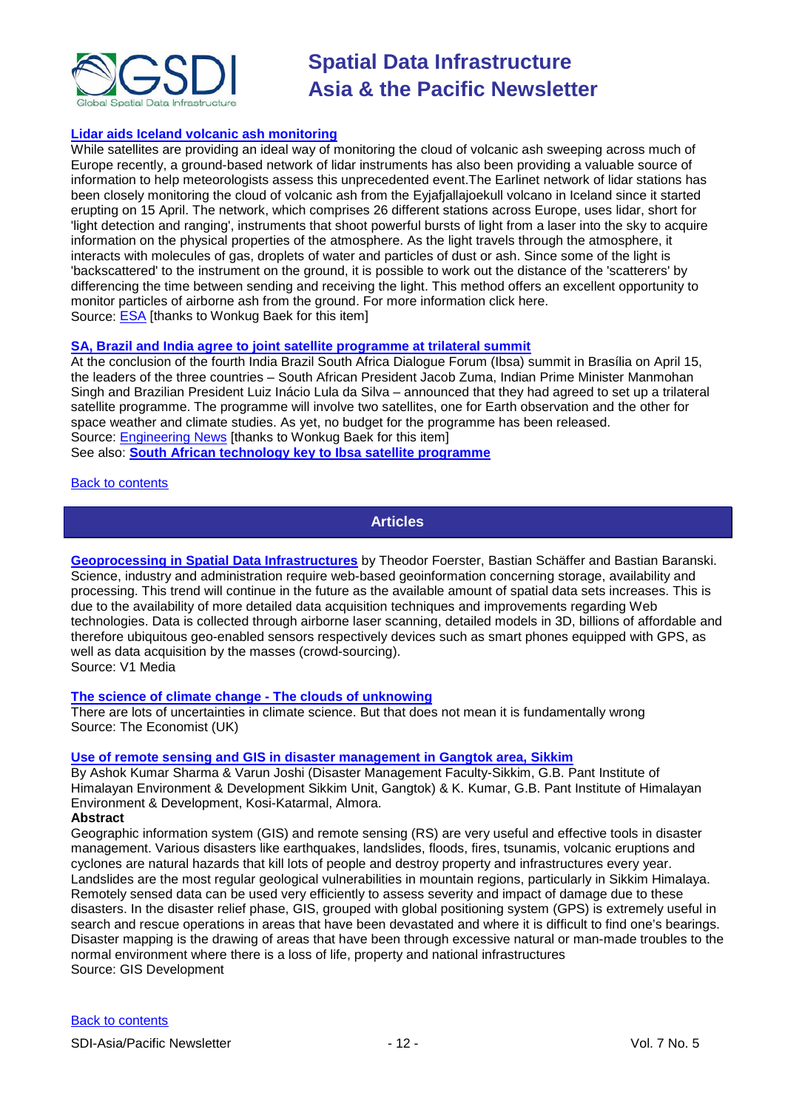

#### **[Lidar aids Iceland volcanic ash monitoring](http://www.esa.int/esaLP/SEMJTTF098G_index_0.html)**

While satellites are providing an ideal way of monitoring the cloud of volcanic ash sweeping across much of Europe recently, a ground-based network of lidar instruments has also been providing a valuable source of information to help meteorologists assess this unprecedented event.The Earlinet network of lidar stations has been closely monitoring the cloud of volcanic ash from the Eyjafjallajoekull volcano in Iceland since it started erupting on 15 April. The network, which comprises 26 different stations across Europe, uses lidar, short for 'light detection and ranging', instruments that shoot powerful bursts of light from a laser into the sky to acquire information on the physical properties of the atmosphere. As the light travels through the atmosphere, it interacts with molecules of gas, droplets of water and particles of dust or ash. Since some of the light is 'backscattered' to the instrument on the ground, it is possible to work out the distance of the 'scatterers' by differencing the time between sending and receiving the light. This method offers an excellent opportunity to monitor particles of airborne ash from the ground. For more information click here. Source: [ESA](http://www.esa.int/esaCP/index.html) [thanks to Wonkug Baek for this item]

#### **[SA, Brazil and India agree to joint satellite programme at trilateral summit](http://www.engineeringnews.co.za/article/sas-expanding-space-frontier-2010-04-30)**

At the conclusion of the fourth India Brazil South Africa Dialogue Forum (Ibsa) summit in Brasília on April 15, the leaders of the three countries – South African President Jacob Zuma, Indian Prime Minister Manmohan Singh and Brazilian President Luiz Inácio Lula da Silva – announced that they had agreed to set up a trilateral satellite programme. The programme will involve two satellites, one for Earth observation and the other for space weather and climate studies. As yet, no budget for the programme has been released. Source: **Engineering News** [thanks to Wonkug Baek for this item] See also: **[South African technology key to Ibsa satellite programme](http://www.engineeringnews.co.za/article/south-african-technology-key-to-india-brazil-south-africa-satellite-programme-2010-04-30)**

#### <span id="page-11-0"></span>[Back to contents](#page-0-0)

**Articles**

**[Geoprocessing in Spatial Data Infrastructures](http://www.vector1media.com/articles/features/12431-geoprocessing-in-spatial-data-infrastructures)** by Theodor Foerster, Bastian Schäffer and Bastian Baranski. Science, industry and administration require web-based geoinformation concerning storage, availability and processing. This trend will continue in the future as the available amount of spatial data sets increases. This is due to the availability of more detailed data acquisition techniques and improvements regarding Web technologies. Data is collected through airborne laser scanning, detailed models in 3D, billions of affordable and therefore ubiquitous geo-enabled sensors respectively devices such as smart phones equipped with GPS, as well as data acquisition by the masses (crowd-sourcing). Source: V1 Media

#### **[The science of climate change -](http://www.economist.com/displaystory.cfm?story_id=15719298&fsrc=rss) The clouds of unknowing**

There are lots of uncertainties in climate science. But that does not mean it is fundamentally wrong Source: The Economist (UK)

#### **[Use of remote sensing and GIS in disaster](http://beta.gisdevelopment.net/index.php?option=com_content&view=article&id=17337%3Ause-of-remote-sensing-and-gis-in-disaster-management-in-gangtok-area-sikkim&catid=145%3Anatural-hazard-management-overview&Itemid=41) management in Gangtok area, Sikkim**

By Ashok Kumar Sharma & Varun Joshi (Disaster Management Faculty-Sikkim, G.B. Pant Institute of Himalayan Environment & Development Sikkim Unit, Gangtok) & K. Kumar, G.B. Pant Institute of Himalayan Environment & Development, Kosi-Katarmal, Almora.

#### **Abstract**

Geographic information system (GIS) and remote sensing (RS) are very useful and effective tools in disaster management. Various disasters like earthquakes, landslides, floods, fires, tsunamis, volcanic eruptions and cyclones are natural hazards that kill lots of people and destroy property and infrastructures every year. Landslides are the most regular geological vulnerabilities in mountain regions, particularly in Sikkim Himalaya. Remotely sensed data can be used very efficiently to assess severity and impact of damage due to these disasters. In the disaster relief phase, GIS, grouped with global positioning system (GPS) is extremely useful in search and rescue operations in areas that have been devastated and where it is difficult to find one's bearings. Disaster mapping is the drawing of areas that have been through excessive natural or man-made troubles to the normal environment where there is a loss of life, property and national infrastructures Source: GIS Development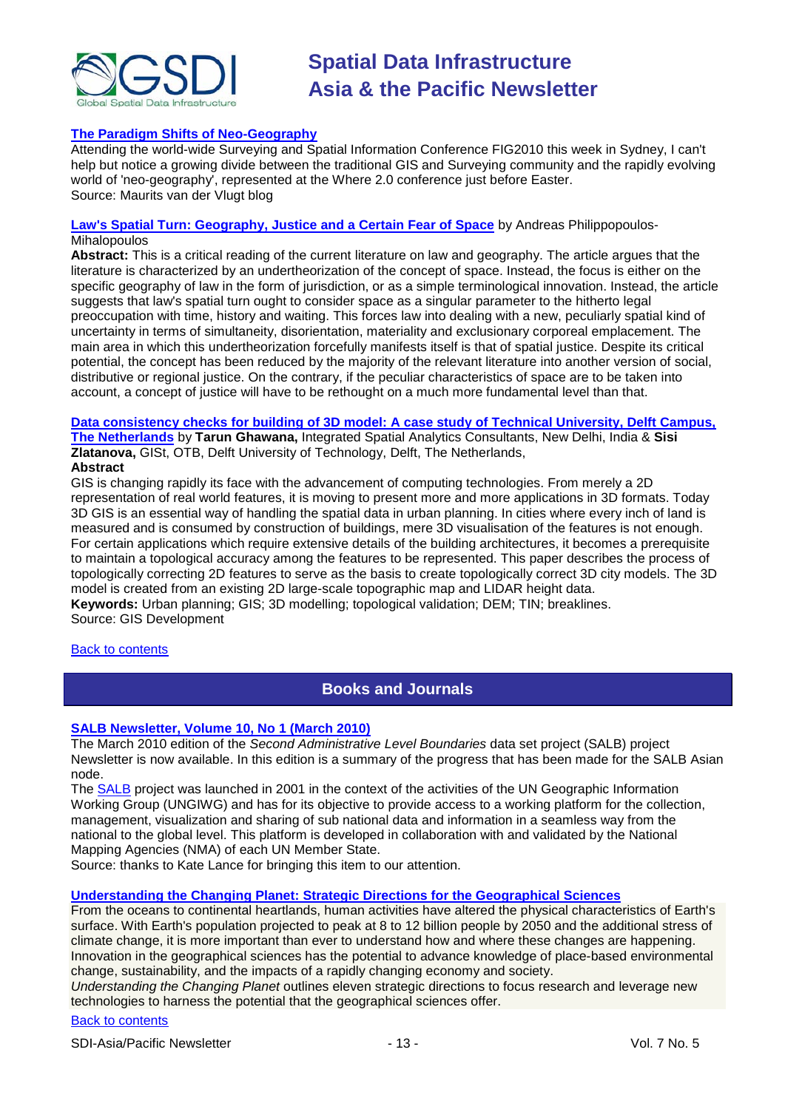

#### **[The Paradigm Shifts of Neo-Geography](http://spatial21.blogspot.com/2010/04/paradigm-shifts-of-neo-geography.html)**

Attending the world-wide Surveying and Spatial Information Conference [FIG2010](http://www.fig2010.com/) this week in Sydney, I can't help but notice a growing divide between the traditional GIS and Surveying community and the rapidly evolving world of ['neo-geography',](http://en.wikipedia.org/wiki/Neogeography) represented at the [Where 2.0](https://en.oreilly.com/where2010) conference just before Easter. Source: Maurits van der Vlugt blog

#### **[Law's Spatial Turn: Geography, Justice and a Certain Fear of Space](http://papers.ssrn.com/sol3/papers.cfm?abstract_id=1574852)** by [Andreas Philippopoulos-](http://papers.ssrn.com/sol3/cf_dev/AbsByAuth.cfm?per_id=959502)**Mihalopoulos**

**Abstract:** This is a critical reading of the current literature on law and geography. The article argues that the literature is characterized by an undertheorization of the concept of space. Instead, the focus is either on the specific geography of law in the form of jurisdiction, or as a simple terminological innovation. Instead, the article suggests that law's spatial turn ought to consider space as a singular parameter to the hitherto legal preoccupation with time, history and waiting. This forces law into dealing with a new, peculiarly spatial kind of uncertainty in terms of simultaneity, disorientation, materiality and exclusionary corporeal emplacement. The main area in which this undertheorization forcefully manifests itself is that of spatial justice. Despite its critical potential, the concept has been reduced by the majority of the relevant literature into another version of social, distributive or regional justice. On the contrary, if the peculiar characteristics of space are to be taken into account, a concept of justice will have to be rethought on a much more fundamental level than that.

#### **[Data consistency checks for building of 3D model: A case study of Technical University, Delft Campus,](http://beta.gisdevelopment.net/index.php?option=com_content&view=article&id=17391%3Adata-consistency-checks-for-building-of-3d-model-a-case-study-of-technical-university-delft-campus-the-netherlands&catid=83%3Atechnology-gis&Itemid=50)  [The Netherlands](http://beta.gisdevelopment.net/index.php?option=com_content&view=article&id=17391%3Adata-consistency-checks-for-building-of-3d-model-a-case-study-of-technical-university-delft-campus-the-netherlands&catid=83%3Atechnology-gis&Itemid=50)** by **Tarun Ghawana,** Integrated Spatial Analytics Consultants, New Delhi, India & **Sisi Zlatanova,** GISt, OTB, Delft University of Technology, Delft, The Netherlands,

#### **Abstract**

GIS is changing rapidly its face with the advancement of computing technologies. From merely a 2D representation of real world features, it is moving to present more and more applications in 3D formats. Today 3D GIS is an essential way of handling the spatial data in urban planning. In cities where every inch of land is measured and is consumed by construction of buildings, mere 3D visualisation of the features is not enough. For certain applications which require extensive details of the building architectures, it becomes a prerequisite to maintain a topological accuracy among the features to be represented. This paper describes the process of topologically correcting 2D features to serve as the basis to create topologically correct 3D city models. The 3D model is created from an existing 2D large-scale topographic map and LIDAR height data. **Keywords:** Urban planning; GIS; 3D modelling; topological validation; DEM; TIN; breaklines. Source: GIS Development

#### <span id="page-12-0"></span>[Back to contents](#page-0-0)

### **Books and Journals**

#### **[SALB Newsletter, Volume 10, No 1 \(March 2010\)](http://www.unsalb.org/documents_interest/newsletters/SALB_Newsletter_March_2010.pdf)**

The March 2010 edition of the *Second Administrative Level Boundaries* data set project (SALB) project Newsletter is now available. In this edition is a summary of the progress that has been made for the SALB Asian node.

The [SALB](http://www.unsalb.org/) project was launched in 2001 in the context of the activities of the UN Geographic Information Working Group (UNGIWG) and has for its objective to provide access to a working platform for the collection, management, visualization and sharing of sub national data and information in a seamless way from the national to the global level. This platform is developed in collaboration with and validated by the National Mapping Agencies (NMA) of each UN Member State.

Source: thanks to Kate Lance for bringing this item to our attention.

#### **[Understanding the Changing Planet: Strategic Directions for the Geographical Sciences](http://www.nap.edu/catalog.php?record_id=12860)**

From the oceans to continental heartlands, human activities have altered the physical characteristics of Earth's surface. With Earth's population projected to peak at 8 to 12 billion people by 2050 and the additional stress of climate change, it is more important than ever to understand how and where these changes are happening. Innovation in the geographical sciences has the potential to advance knowledge of place-based environmental change, sustainability, and the impacts of a rapidly changing economy and society.

*Understanding the Changing Planet* outlines eleven strategic directions to focus research and leverage new technologies to harness the potential that the geographical sciences offer.

#### [Back to contents](#page-0-0)

SDI-Asia/Pacific Newsletter  $\overline{1}$  - 13 - Vol. 7 No. 5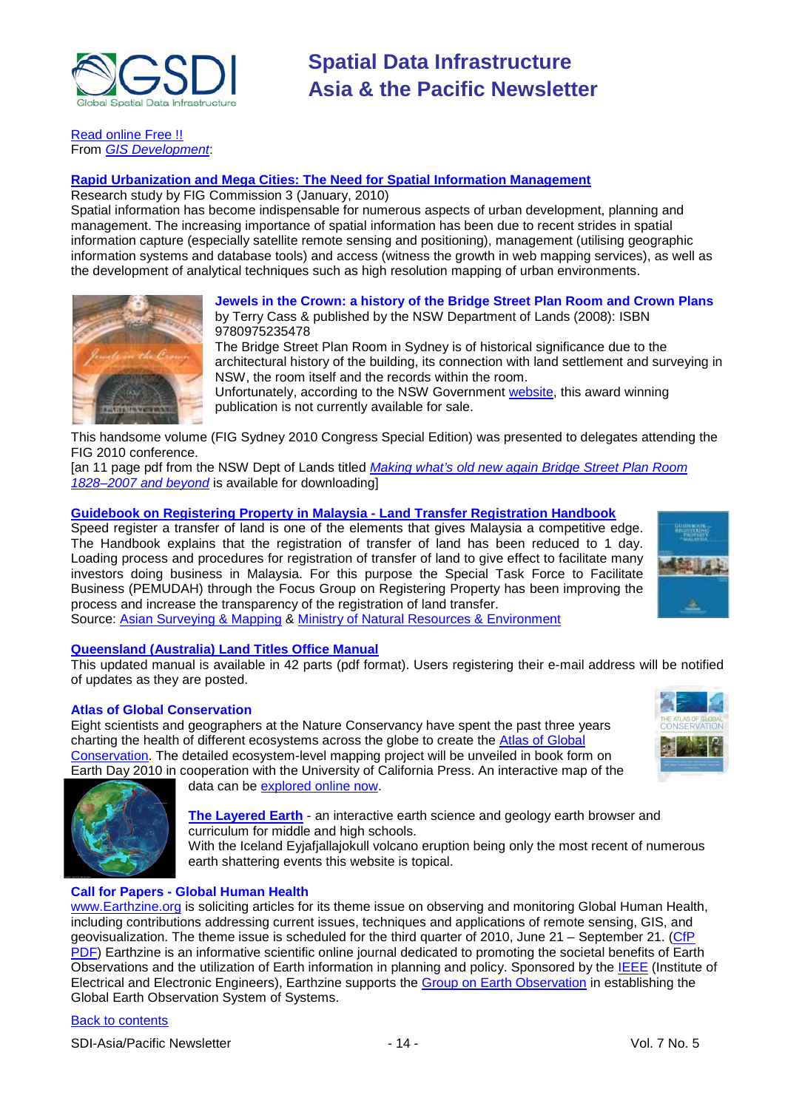

[Read online Free !!](http://www.nap.edu/openbook.php?record_id=12860&page=1) From *[GIS Development](http://gisdevelopment.net/news/viewn.asp?id=GIS:N_lziarnbdvm&Ezine=apr0510§ion=News)*:

### **Rapid Urbanization and Mega [Cities: The Need for Spatial Information Management](http://www.fig.net/pub/figpub/pub48/figpub48.pdf)**

Research study by FIG Commission 3 (January, 2010)

Spatial information has become indispensable for numerous aspects of urban development, planning and management. The increasing importance of spatial information has been due to recent strides in spatial information capture (especially satellite remote sensing and positioning), management (utilising geographic information systems and database tools) and access (witness the growth in web mapping services), as well as the development of analytical techniques such as high resolution mapping of urban environments.



### **Jewels in the Crown: a history of the Bridge Street Plan Room and Crown Plans** by Terry Cass & published by the NSW Department of Lands (2008): ISBN

9780975235478 The Bridge Street Plan Room in Sydney is of historical significance due to the architectural history of the building, its connection with land settlement and surveying in NSW, the room itself and the records within the room.

Unfortunately, according to the NSW Government [website,](http://www.baseline.nsw.gov.au/products.html) this award winning publication is not currently available for sale.

This handsome volume (FIG Sydney 2010 Congress Special Edition) was presented to delegates attending the FIG 2010 conference.

[an 11 page pdf from the NSW Dept of Lands titled *[Making what's old new again Bridge Street Plan Room](http://www.lands.nsw.gov.au/__data/assets/pdf_file/0007/67750/Bridge_street_plan_room.pdf)  [1828–2007 and beyond](http://www.lands.nsw.gov.au/__data/assets/pdf_file/0007/67750/Bridge_street_plan_room.pdf)* is available for downloading]

#### **[Guidebook on Registering Property in Malaysia -](http://www.kptg.gov.my/index.php?option=com_docman&task=cat_view&gid=187&Itemid=59&lang=ms) Land Transfer Registration Handbook**

Speed register a transfer of land is one of the elements that gives Malaysia a competitive edge. The Handbook explains that the registration of transfer of land has been reduced to 1 day. Loading process and procedures for registration of transfer of land to give effect to facilitate many investors doing business in Malaysia. For this purpose the Special Task Force to Facilitate Business (PEMUDAH) through the Focus Group on Registering Property has been improving the process and increase the transparency of the registration of land transfer.



Source: [Asian Surveying & Mapping](http://asmmag.com/news/land-transfer-registration-handbook-in-malaysia) & [Ministry of Natural Resources & Environment](http://www.kptg.gov.my/index.php?lang=en)

### **[Queensland \(Australia\) Land Titles Office Manual](http://www.derm.qld.gov.au/property/titles/ltpm.html)**

This updated manual is available in 42 parts (pdf format). Users registering their e-mail address will be notified of updates as they are posted.

#### **Atlas of Global Conservation**

Eight scientists and geographers at the Nature Conservancy have spent the past three years charting the health of different ecosystems across the globe to create the [Atlas of Global](http://www.nature.org/tncscience/maps/)  [Conservation.](http://www.nature.org/tncscience/maps/) The detailed ecosystem-level mapping project will be unveiled in book form on Earth Day 2010 in cooperation with the University of California Press. An interactive map of the



data can be [explored online now.](http://www.nature.org/multimedia/maps/)

**[The Layered Earth](http://www.thelayeredearth.com/index.php)** - an interactive earth science and geology earth browser and curriculum for middle and high schools.

With the Iceland Eyjafjallajokull volcano eruption being only the most recent of numerous earth shattering events this website is topical.

#### **Call for Papers - Global Human Health**

[www.Earthzine.org](http://www.earthzine.org/) is soliciting articles for its theme issue on observing and monitoring Global Human Health, including contributions addressing current issues, techniques and applications of remote sensing, GIS, and geovisualization. The theme issue is scheduled for the third quarter of 2010, June 21 – September 21. [\(CfP](http://www.earthzine.org/wp-content/uploads/2010/04/Call-for-Papers-Global-Human-Health.pdf)  [PDF\)](http://www.earthzine.org/wp-content/uploads/2010/04/Call-for-Papers-Global-Human-Health.pdf) Earthzine is an informative scientific online journal dedicated to promoting the societal benefits of Earth Observations and the utilization of Earth information in planning and policy. Sponsored by the [IEEE](http://www.ieee.org/portal/site) (Institute of Electrical and Electronic Engineers), Earthzine supports the [Group on Earth Observation](http://www.earthobservations.org/) in establishing the Global Earth Observation System of Systems.

#### [Back to contents](#page-0-0)

SDI-Asia/Pacific Newsletter  $\overline{\phantom{a}}$  - 14 -  $\overline{\phantom{a}}$  - Vol. 7 No. 5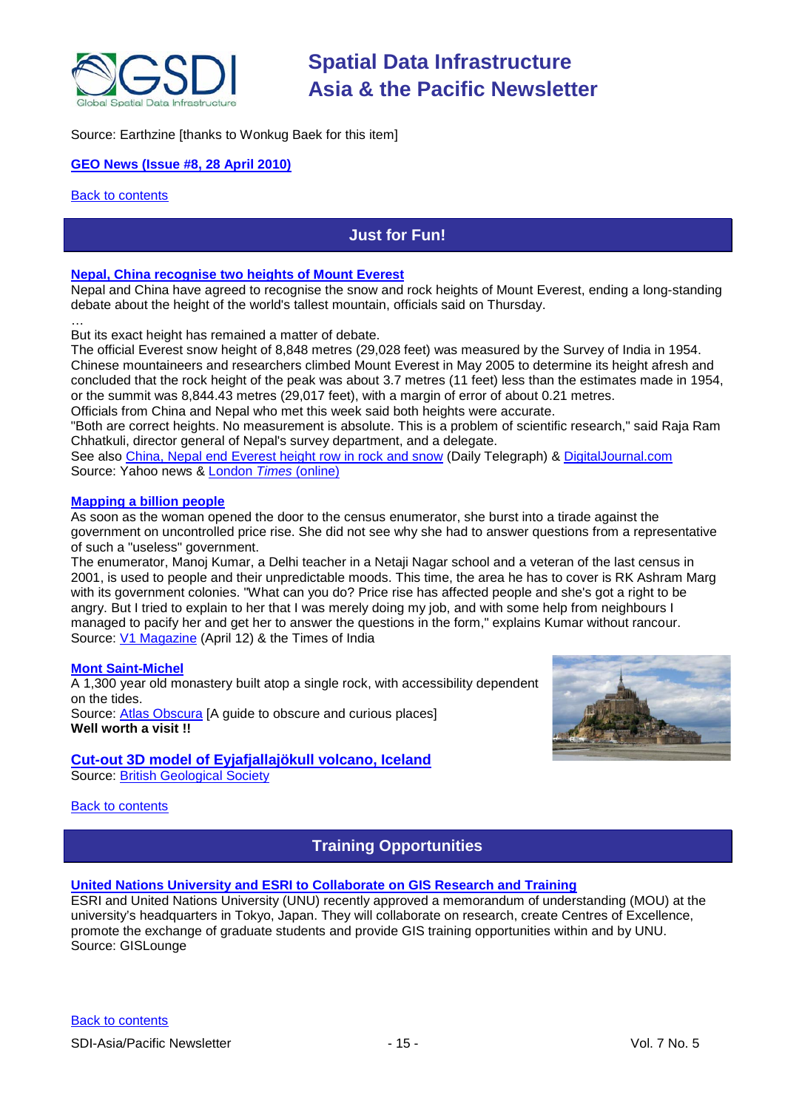

Source: Earthzine [thanks to Wonkug Baek for this item]

#### **[GEO News \(Issue #8, 28 April 2010\)](http://www.earthobservations.org/pr_gnl.shtml)**

<span id="page-14-0"></span>**[Back to contents](#page-0-0)** 

## **Just for Fun!**

#### <span id="page-14-1"></span>**Nepal, China recognise [two heights of Mount Everest](http://news.yahoo.com/s/nm/20100408/india_nm/india475446)**

Nepal and China have agreed to recognise the snow and rock heights of Mount Everest, ending a long-standing debate about the height of the world's tallest mountain, officials said on Thursday.

… But its exact height has remained a matter of debate.

The official Everest snow height of 8,848 metres (29,028 feet) was measured by the Survey of India in 1954. Chinese mountaineers and researchers climbed Mount Everest in May 2005 to determine its height afresh and concluded that the rock height of the peak was about 3.7 metres (11 feet) less than the estimates made in 1954, or the summit was 8,844.43 metres (29,017 feet), with a margin of error of about 0.21 metres. Officials from China and Nepal who met this week said both heights were accurate.

"Both are correct heights. No measurement is absolute. This is a problem of scientific research," said Raja Ram Chhatkuli, director general of Nepal's survey department, and a delegate.

See also [China, Nepal end Everest height row in rock and snow](http://www.dailytelegraph.com.au/news/breaking-news/china-nepal-end-everest-height-row-in-rock-and-snow/story-e6freuz9-1225851557109) (Daily Telegraph) & [DigitalJournal.com](http://www.digitaljournal.com/article/290252) Source: Yahoo news & [London](http://www.timesonline.co.uk/tol/news/world/asia/article7092346.ece) *Times* (online)

#### **[Mapping a billion people](http://timesofindia.indiatimes.com/india/Mapping-a-billion-people/articleshow/5781377.cms)**

As soon as the woman opened the door to the census enumerator, she burst into a tirade against the government on uncontrolled price rise. She did not see why she had to answer questions from a representative of such a "useless" government.

The enumerator, Manoj Kumar, a Delhi teacher in a Netaji Nagar school and a veteran of the last census in 2001, is used to people and their unpredictable moods. This time, the area he has to cover is RK Ashram Marg with its government colonies. "What can you do? Price rise has affected people and she's got a right to be angry. But I tried to explain to her that I was merely doing my job, and with some help from neighbours I managed to pacify her and get her to answer the questions in the form," explains Kumar without rancour. Source: [V1 Magazine](http://www.vector1media.com/news/headlines) (April 12) & the Times of India

#### **[Mont Saint-Michel](http://atlasobscura.com/place/mont-saint-michel)**

A 1,300 year old monastery built atop a single rock, with accessibility dependent on the tides. Source: [Atlas Obscura](http://atlasobscura.com/about) [A guide to obscure and curious places] **Well worth a visit !!**

#### **Cut-out [3D model of Eyjafjallajökull volcano, Iceland](http://www.bgs.ac.uk/research/highlights/iceland/3dVolcanicModel.html)**

Source: [British Geological Society](http://www.bgs.ac.uk/home.html)

[Back to contents](#page-0-0)

### **Training Opportunities**

#### **[United Nations University and ESRI to Collaborate on GIS Research and Training](http://news.gislounge.com/2010/02/united-nations-university-and-esri-to-collaborate-on-gis-research-and-training/?utm_source=feedburner&utm_medium=feed&utm_campaign=Feed%3A+GeospatialPressReleases+%28Geospatial+Press+Releases%29)**

ESRI and United Nations University (UNU) recently approved a memorandum of understanding (MOU) at the university's headquarters in Tokyo, Japan. They will collaborate on research, create Centres of Excellence, promote the exchange of graduate students and provide GIS training opportunities within and by UNU. Source: GISLounge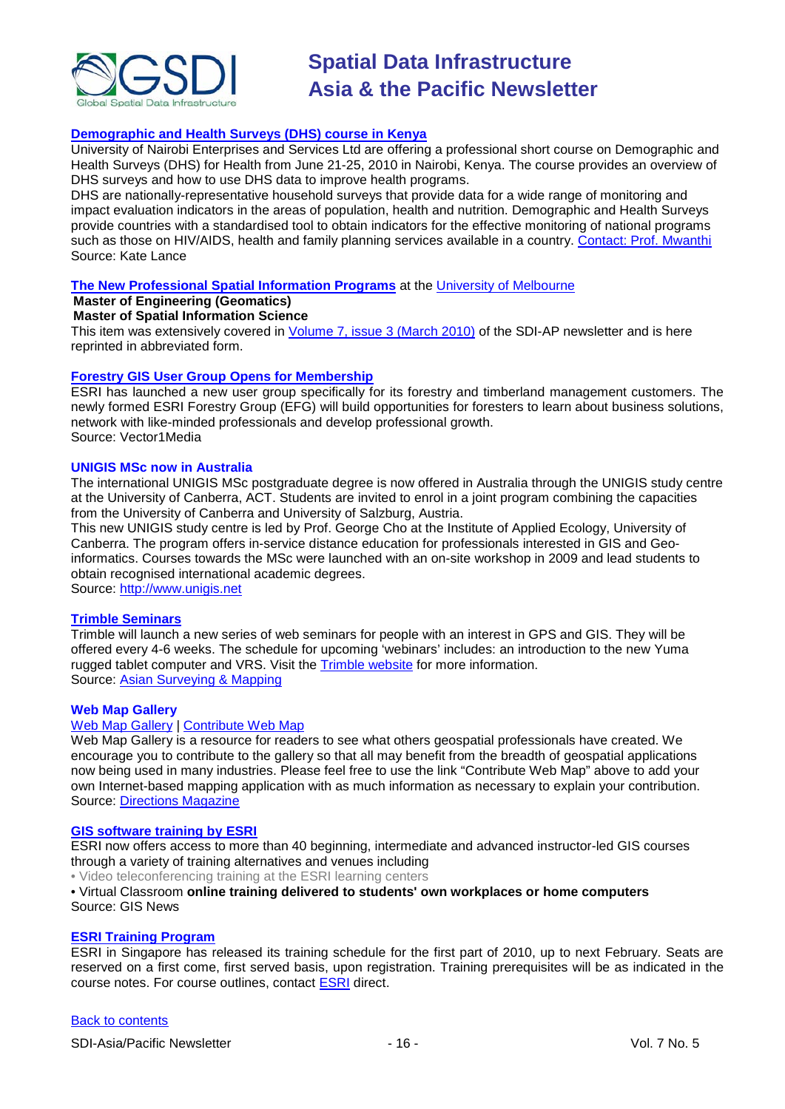

#### **[Demographic and Health Surveys \(DHS\) course in Kenya](http://www.measuredhs.com/wn1/reports/Demographic%20health%20surveys_final%20flyer.pdf)**

University of Nairobi Enterprises and Services Ltd are offering a professional short course on Demographic and Health Surveys (DHS) for Health from June 21-25, 2010 in Nairobi, Kenya. The course provides an overview of DHS surveys and how to use DHS data to improve health programs.

DHS are nationally-representative household surveys that provide data for a wide range of monitoring and impact evaluation indicators in the areas of population, health and nutrition. Demographic and Health Surveys provide countries with a standardised tool to obtain indicators for the effective monitoring of national programs such as those on HIV/AIDS, health and family planning services available in a country. [Contact: Prof. Mwanthi](mailto:mmwanthi@uonbi.ac.ke) Source: Kate Lance

#### **[The New Professional Spatial Information Programs](http://www.geom.unimelb.edu.au/future/masters.html)** at the [University of Melbourne](http://www.unimelb.edu.au/)

#### **Master of Engineering (Geomatics)**

#### **Master of Spatial Information Science**

This item was extensively covered in [Volume 7, issue 3 \(March 2010\)](http://portal.gsdi.org/files/?artifact_id=688) of the SDI-AP newsletter and is here reprinted in abbreviated form.

#### **[Forestry GIS User Group Opens for Membership](http://www.vector1media.com/news/top-stories/53-corporate-news/8187-forestry-gis-user-group-opens-for-membership)**

ESRI has launched a new user group specifically for its forestry and timberland management customers. The newly formed ESRI Forestry Group (EFG) will build opportunities for foresters to learn about business solutions, network with like-minded professionals and develop professional growth. Source: Vector1Media

#### **UNIGIS MSc now in Australia**

The international UNIGIS MSc postgraduate degree is now offered in Australia through the UNIGIS study centre at the University of Canberra, ACT. Students are invited to enrol in a joint program combining the capacities from the University of Canberra and University of Salzburg, Austria.

This new UNIGIS study centre is led by Prof. George Cho at the Institute of Applied Ecology, University of Canberra. The program offers in-service distance education for professionals interested in GIS and Geoinformatics. Courses towards the MSc were launched with an on-site workshop in 2009 and lead students to obtain recognised international academic degrees.

Source: [http://www.unigis.net](http://www.unigis.net/)

#### **[Trimble Seminars](http://www.trimble.com/mgis/webinars.shtml)**

Trimble will launch a new series of web seminars for people with an interest in GPS and GIS. They will be offered every 4-6 weeks. The schedule for upcoming 'webinars' includes: an introduction to the new Yuma rugged tablet computer and VRS. Visit the [Trimble website](http://www.trimble.com/mgis/webinars.shtml) for more information. Source: [Asian Surveying & Mapping](http://www.asmmag.com/news)

#### **Web Map Gallery**

### [Web Map Gallery](http://www.directionsmag.com/webmapgallery/) | [Contribute Web Map](http://www.directionsmag.com/webmapgallery/?duty=Contribute)

Web Map Gallery is a resource for readers to see what others geospatial professionals have created. We encourage you to contribute to the gallery so that all may benefit from the breadth of geospatial applications now being used in many industries. Please feel free to use the link "Contribute Web Map" above to add your own Internet-based mapping application with as much information as necessary to explain your contribution. Source: [Directions Magazine](http://www.directionsmag.com/webmapgallery/)

#### **[GIS software training by ESRI](http://training.esri.com/gateway/index.cfm?fa=trainingOptions.gateway)**

ESRI now offers access to more than 40 beginning, intermediate and advanced instructor-led GIS courses through a variety of training alternatives and venues including

• Video teleconferencing training at the ESRI learning centers

#### • Virtual Classroom **online training delivered to students' own workplaces or home computers** Source: GIS News

#### **[ESRI Training Program](http://www.esrisingapore.com.sg/training.html)**

ESRI in Singapore has released its training schedule for the first part of 2010, up to next February. Seats are reserved on a first come, first served basis, upon registration. Training prerequisites will be as indicated in the course notes. For course outlines, contact [ESRI](mailto:training@esrisa.com) direct.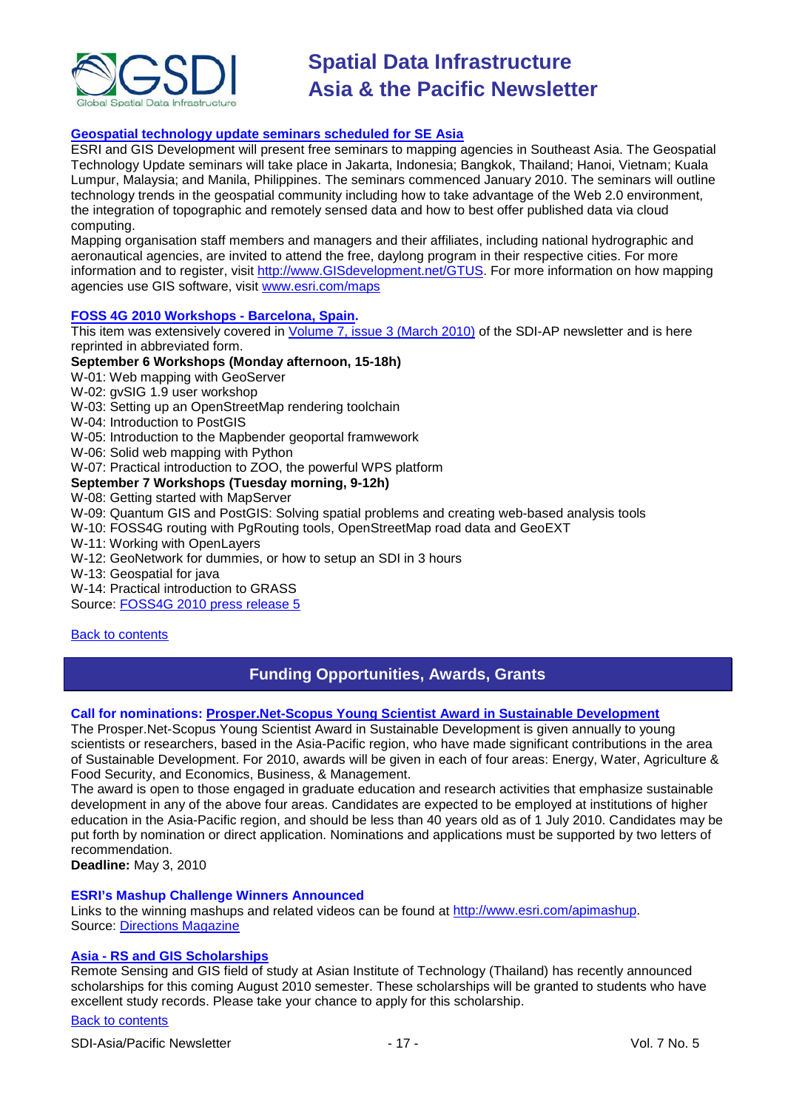

#### **[Geospatial technology update seminars scheduled for SE Asia](http://www.esri.com/news/releases/10_1qtr/geo-tech.html)**

ESRI and GIS Development will present free seminars to mapping agencies in Southeast Asia. The Geospatial Technology Update seminars will take place in Jakarta, Indonesia; Bangkok, Thailand; Hanoi, Vietnam; Kuala Lumpur, Malaysia; and Manila, Philippines. The seminars commenced January 2010. The seminars will outline technology trends in the geospatial community including how to take advantage of the Web 2.0 environment, the integration of topographic and remotely sensed data and how to best offer published data via cloud computing.

Mapping organisation staff members and managers and their affiliates, including national hydrographic and aeronautical agencies, are invited to attend the free, daylong program in their respective cities. For more information and to register, visit [http://www.GISdevelopment.net/GTUS.](http://www.gisdevelopment.net/GTUS) For more information on how mapping agencies use GIS software, visit [www.esri.com/maps](http://www.esri.com/maps)

#### **[FOSS 4G 2010 Workshops -](http://2010.foss4g.org/) Barcelona, Spain.**

This item was extensively covered in [Volume 7, issue 3 \(March 2010\)](http://portal.gsdi.org/files/?artifact_id=688) of the SDI-AP newsletter and is here reprinted in abbreviated form.

#### **September 6 Workshops (Monday afternoon, 15-18h)**

W-01: Web mapping with GeoServer

W-02: gvSIG 1.9 user workshop

W-03: Setting up an OpenStreetMap rendering toolchain

W-04: Introduction to PostGIS

W-05: Introduction to the Mapbender geoportal framwework

W-06: Solid web mapping with Python

W-07: Practical introduction to ZOO, the powerful WPS platform

#### **September 7 Workshops (Tuesday morning, 9-12h)**

#### W-08: Getting started with MapServer

W-09: Quantum GIS and PostGIS: Solving spatial problems and creating web-based analysis tools

W-10: FOSS4G routing with PgRouting tools, OpenStreetMap road data and GeoEXT

W-11: Working with OpenLayers

W-12: GeoNetwork for dummies, or how to setup an SDI in 3 hours

W-13: Geospatial for java

W-14: Practical introduction to GRASS

Source: [FOSS4G 2010 press release 5](http://wiki.osgeo.org/wiki/FOSS4G_2010_Press_Release_5)

#### <span id="page-16-0"></span>[Back to contents](#page-0-0)

### **Funding Opportunities, Awards, Grants**

#### **Call for nominations: [Prosper.Net-Scopus Young Scientist Award in Sustainable Development](http://asia.elsevier.com/elsevierdnn/ProSPERNetScopusYoungResearcherAward2010/tabid/1417/Default.aspx)**

The Prosper.Net-Scopus Young Scientist Award in Sustainable Development is given annually to young scientists or researchers, based in the Asia-Pacific region, who have made significant contributions in the area of Sustainable Development. For 2010, awards will be given in each of four areas: Energy, Water, Agriculture & Food Security, and Economics, Business, & Management.

The award is open to those engaged in graduate education and research activities that emphasize sustainable development in any of the above four areas. Candidates are expected to be employed at institutions of higher education in the Asia-Pacific region, and should be less than 40 years old as of 1 July 2010. Candidates may be put forth by nomination or direct application. Nominations and applications must be supported by two letters of recommendation.

**Deadline:** May 3, 2010

#### **ESRI's Mashup Challenge Winners Announced**

Links to the winning mashups and related videos can be found at [http://www.esri.com/apimashup.](http://www.esri.com/software/mapping_for_everyone/api/mashup.html) Source: [Directions Magazine](http://www.directionsmag.com/press.releases/?duty=Show&id=45995)

#### **Asia - [RS and GIS Scholarships](http://www.ait.ac.th/AIT/admissions/Current_Scholarships)**

Remote Sensing and GIS field of study at Asian Institute of Technology (Thailand) has recently announced scholarships for this coming August 2010 semester. These scholarships will be granted to students who have excellent study records. Please take your chance to apply for this scholarship.

#### [Back to contents](#page-0-0)

SDI-Asia/Pacific Newsletter  $17 - 17 - 17$  - Vol. 7 No. 5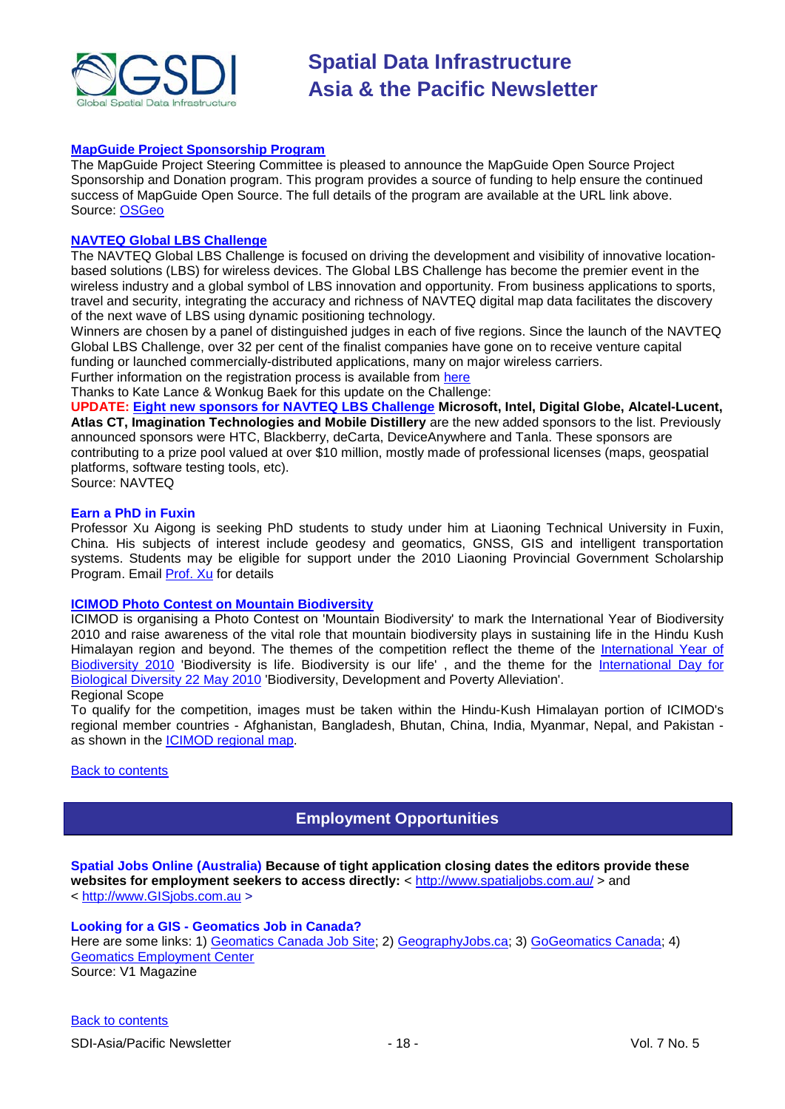

#### **[MapGuide Project Sponsorship Program](http://mapguide.osgeo.org/sponsorship)**

The MapGuide Project Steering Committee is pleased to announce the MapGuide Open Source Project Sponsorship and Donation program. This program provides a source of funding to help ensure the continued success of MapGuide Open Source. The full details of the program are available at the URL link above. Source: [OSGeo](http://www.osgeo.org/node/978)

#### **[NAVTEQ Global LBS](http://developer.navteq.com/site/global/market/lbs_challenge/p_lbs_home.jsp) Challenge**

The NAVTEQ Global LBS Challenge is focused on driving the development and visibility of innovative locationbased solutions (LBS) for wireless devices. The Global LBS Challenge has become the premier event in the wireless industry and a global symbol of LBS innovation and opportunity. From business applications to sports, travel and security, integrating the accuracy and richness of NAVTEQ digital map data facilitates the discovery of the next wave of LBS using dynamic positioning technology.

Winners are chosen by a panel of distinguished judges in each of five regions. Since the launch of the NAVTEQ Global LBS Challenge, over 32 per cent of the finalist companies have gone on to receive venture capital funding or launched commercially-distributed applications, many on major wireless carriers.

Further information on the registration process is available from [here](http://developer.navteq.com/site/global/market/lbs_challenge/p_lbs_home.jsp)

Thanks to Kate Lance & Wonkug Baek for this update on the Challenge:

**UPDATE: [Eight new sponsors for NAVTEQ LBS Challenge](http://corporate.navteq.com/webapps/NewsUserServlet?action=NewsDetail&newsId=824&lang=en&englishonly=false) Microsoft, Intel, Digital Globe, Alcatel-Lucent, Atlas CT, Imagination Technologies and Mobile Distillery** are the new added sponsors to the list. Previously announced sponsors were HTC, Blackberry, deCarta, DeviceAnywhere and Tanla. These sponsors are contributing to a prize pool valued at over \$10 million, mostly made of professional licenses (maps, geospatial platforms, software testing tools, etc).

Source: NAVTEQ

#### **Earn a PhD in Fuxin**

Professor Xu Aigong is seeking PhD students to study under him at Liaoning Technical University in Fuxin, China. His subjects of interest include geodesy and geomatics, GNSS, GIS and intelligent transportation systems. Students may be eligible for support under the 2010 Liaoning Provincial Government Scholarship Program. Email [Prof. Xu](mailto:%22xu_ag@126.com%22) for details

#### **[ICIMOD Photo Contest on Mountain Biodiversity](http://www.icimod.org/photocontest/2010/page/about)**

ICIMOD is organising a Photo Contest on 'Mountain Biodiversity' to mark the International Year of Biodiversity 2010 and raise awareness of the vital role that mountain biodiversity plays in sustaining life in the Hindu Kush Himalayan region and beyond. The themes of the competition reflect the theme of the International Year of [Biodiversity 2010](http://www.cbd.int/2010/welcome/) 'Biodiversity is life. Biodiversity is our life', and the theme for the International Day for [Biological Diversity 22 May 2010](http://www.cbd.int/idb/2010/) 'Biodiversity, Development and Poverty Alleviation'. Regional Scope

#### To qualify for the competition, images must be taken within the Hindu-Kush Himalayan portion of ICIMOD's regional member countries - Afghanistan, Bangladesh, Bhutan, China, India, Myanmar, Nepal, and Pakistan as shown in the **ICIMOD** regional map.

#### <span id="page-17-0"></span>**[Back to contents](#page-0-0)**

### **Employment Opportunities**

**Spatial Jobs Online (Australia) Because of tight application closing dates the editors provide these**  websites for employment seekers to access directly: <<http://www.spatialjobs.com.au/> > and < [http://www.GISjobs.com.au](http://www.gisjobs.com.au/) >

# **Looking for a GIS - Geomatics Job in Canada?**

<span id="page-17-1"></span>Here are some links: 1) [Geomatics Canada Job Site;](http://geomaticscanada.com/jobs.cfm) 2) [GeographyJobs.ca;](http://www.geographyjobs.ca/) 3) [GoGeomatics Canada;](http://canada.gogeomatics.net/frmHome.aspx) 4) [Geomatics Employment Center](http://gisjobs.ca/) Source: V1 Magazine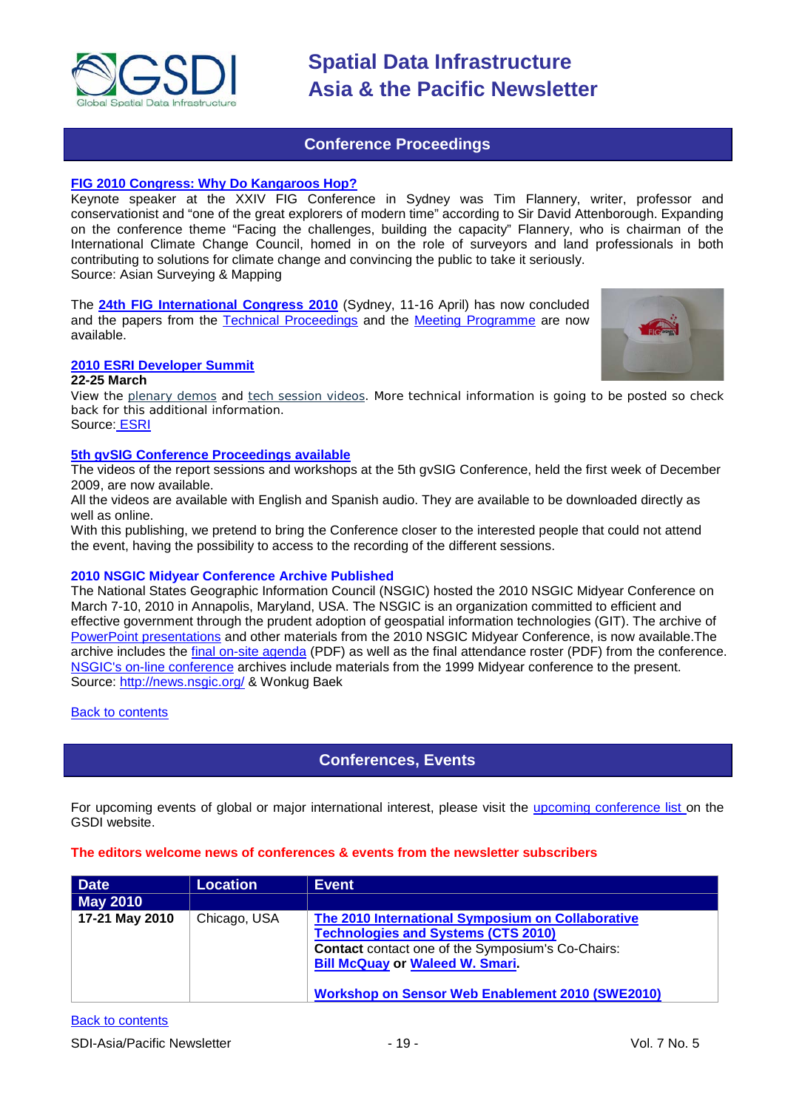

### **Conference Proceedings**

#### **[FIG 2010 Congress: Why Do Kangaroos Hop?](http://asmmag.com/features/fig-2010-congress-why-do-kangaroos-hop-)**

Keynote speaker at the XXIV FIG Conference in Sydney was Tim Flannery, writer, professor and conservationist and "one of the great explorers of modern time" according to Sir David Attenborough. Expanding on the conference theme "Facing the challenges, building the capacity" Flannery, who is chairman of the International Climate Change Council, homed in on the role of surveyors and land professionals in both contributing to solutions for climate change and convincing the public to take it seriously. Source: Asian Surveying & Mapping

The **[24th FIG International Congress 2010](http://www.fig2010.com/)** (Sydney, 11-16 April) has now concluded and the papers from the [Technical Proceedings](http://www.fig.net/pub/fig2010/techprog.htm) and the [Meeting Programme](http://www.fig.net/pub/fig2010/meetprog.htm) are now available.



#### **[2010 ESRI Developer Summit](http://www.esri.com/events/devsummit/index.html)**

#### **22-25 March**

View the [plenary demos](http://www.esri.com/events/devsummit/videos/index.html) and [tech session videos.](http://www.esri.com/events/devsummit/tech-session-videos/index.html) More technical information is going to be posted so check back for this additional information.

Source: [ESRI](http://www.esri.com/events/devsummit/index.html)

#### **[5th gvSIG Conference Proceedings available](http://jornadas.gvsig.org/comunicaciones/reports)**

The videos of the report sessions and workshops at the 5th gvSIG Conference, held the first week of December 2009, are now available.

All the videos are available with English and Spanish audio. They are available to be downloaded directly as well as online.

With this publishing, we pretend to bring the Conference closer to the interested people that could not attend the event, having the possibility to access to the recording of the different sessions.

#### **2010 NSGIC Midyear Conference Archive Published**

The National States Geographic Information Council (NSGIC) hosted the 2010 NSGIC Midyear Conference on March 7-10, 2010 in Annapolis, Maryland, USA. The NSGIC is an organization committed to efficient and effective government through the prudent adoption of geospatial information technologies (GIT). The archive of [PowerPoint presentations](http://www.nsgic.org/events/2010_midyear.cfm) and other materials from the 2010 NSGIC Midyear Conference, is now available.The archive includes the [final on-site agenda](http://www.nsgic.org/events/2010midyear/OnsiteAgenda.pdf) (PDF) as well as the final attendance roster (PDF) from the conference. [NSGIC's on-line conference](http://www.nsgic.org/events/archives.cfm) archives include materials from the 1999 Midyear conference to the present. Source:<http://news.nsgic.org/> & Wonkug Baek

<span id="page-18-0"></span>**[Back to contents](#page-0-0)** 

### **Conferences, Events**

For upcoming events of global or major international interest, please visit the [upcoming conference list o](http://gsdi.org/events/upcnf.asp)n the GSDI website.

#### **The editors welcome news of conferences & events from the newsletter subscribers**

| Date           | <b>Location</b> | <b>Event</b>                                                                                                                                                                                                                                                     |
|----------------|-----------------|------------------------------------------------------------------------------------------------------------------------------------------------------------------------------------------------------------------------------------------------------------------|
| May 2010       |                 |                                                                                                                                                                                                                                                                  |
| 17-21 May 2010 | Chicago, USA    | The 2010 International Symposium on Collaborative<br><b>Technologies and Systems (CTS 2010)</b><br><b>Contact</b> contact one of the Symposium's Co-Chairs:<br><b>Bill McQuay or Waleed W. Smari.</b><br><b>Workshop on Sensor Web Enablement 2010 (SWE2010)</b> |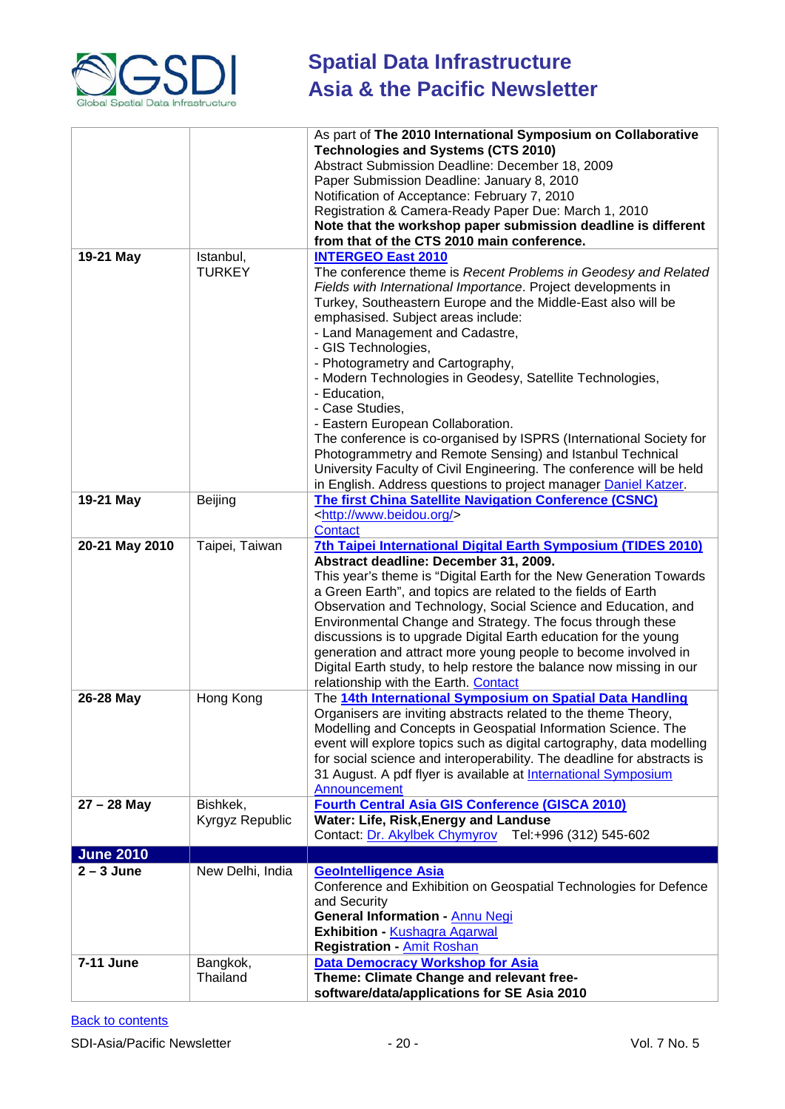

| <b>Technologies and Systems (CTS 2010)</b><br>Abstract Submission Deadline: December 18, 2009<br>Paper Submission Deadline: January 8, 2010<br>Notification of Acceptance: February 7, 2010<br>Registration & Camera-Ready Paper Due: March 1, 2010<br>Note that the workshop paper submission deadline is different<br>from that of the CTS 2010 main conference.<br>19-21 May<br><b>INTERGEO East 2010</b><br>Istanbul,<br><b>TURKEY</b><br>The conference theme is Recent Problems in Geodesy and Related<br>Fields with International Importance. Project developments in<br>Turkey, Southeastern Europe and the Middle-East also will be<br>emphasised. Subject areas include:<br>- Land Management and Cadastre, |
|------------------------------------------------------------------------------------------------------------------------------------------------------------------------------------------------------------------------------------------------------------------------------------------------------------------------------------------------------------------------------------------------------------------------------------------------------------------------------------------------------------------------------------------------------------------------------------------------------------------------------------------------------------------------------------------------------------------------|
|                                                                                                                                                                                                                                                                                                                                                                                                                                                                                                                                                                                                                                                                                                                        |
|                                                                                                                                                                                                                                                                                                                                                                                                                                                                                                                                                                                                                                                                                                                        |
|                                                                                                                                                                                                                                                                                                                                                                                                                                                                                                                                                                                                                                                                                                                        |
|                                                                                                                                                                                                                                                                                                                                                                                                                                                                                                                                                                                                                                                                                                                        |
|                                                                                                                                                                                                                                                                                                                                                                                                                                                                                                                                                                                                                                                                                                                        |
|                                                                                                                                                                                                                                                                                                                                                                                                                                                                                                                                                                                                                                                                                                                        |
|                                                                                                                                                                                                                                                                                                                                                                                                                                                                                                                                                                                                                                                                                                                        |
|                                                                                                                                                                                                                                                                                                                                                                                                                                                                                                                                                                                                                                                                                                                        |
|                                                                                                                                                                                                                                                                                                                                                                                                                                                                                                                                                                                                                                                                                                                        |
|                                                                                                                                                                                                                                                                                                                                                                                                                                                                                                                                                                                                                                                                                                                        |
|                                                                                                                                                                                                                                                                                                                                                                                                                                                                                                                                                                                                                                                                                                                        |
|                                                                                                                                                                                                                                                                                                                                                                                                                                                                                                                                                                                                                                                                                                                        |
|                                                                                                                                                                                                                                                                                                                                                                                                                                                                                                                                                                                                                                                                                                                        |
| - GIS Technologies,                                                                                                                                                                                                                                                                                                                                                                                                                                                                                                                                                                                                                                                                                                    |
| - Photogrametry and Cartography,                                                                                                                                                                                                                                                                                                                                                                                                                                                                                                                                                                                                                                                                                       |
| - Modern Technologies in Geodesy, Satellite Technologies,<br>- Education,                                                                                                                                                                                                                                                                                                                                                                                                                                                                                                                                                                                                                                              |
| - Case Studies,                                                                                                                                                                                                                                                                                                                                                                                                                                                                                                                                                                                                                                                                                                        |
| - Eastern European Collaboration.                                                                                                                                                                                                                                                                                                                                                                                                                                                                                                                                                                                                                                                                                      |
| The conference is co-organised by ISPRS (International Society for                                                                                                                                                                                                                                                                                                                                                                                                                                                                                                                                                                                                                                                     |
| Photogrammetry and Remote Sensing) and Istanbul Technical                                                                                                                                                                                                                                                                                                                                                                                                                                                                                                                                                                                                                                                              |
| University Faculty of Civil Engineering. The conference will be held                                                                                                                                                                                                                                                                                                                                                                                                                                                                                                                                                                                                                                                   |
| in English. Address questions to project manager Daniel Katzer.                                                                                                                                                                                                                                                                                                                                                                                                                                                                                                                                                                                                                                                        |
| The first China Satellite Navigation Conference (CSNC)<br>19-21 May<br>Beijing                                                                                                                                                                                                                                                                                                                                                                                                                                                                                                                                                                                                                                         |
| <http: www.beidou.org=""></http:>                                                                                                                                                                                                                                                                                                                                                                                                                                                                                                                                                                                                                                                                                      |
| <b>Contact</b>                                                                                                                                                                                                                                                                                                                                                                                                                                                                                                                                                                                                                                                                                                         |
| 20-21 May 2010<br>Taipei, Taiwan<br>7th Taipei International Digital Earth Symposium (TIDES 2010)                                                                                                                                                                                                                                                                                                                                                                                                                                                                                                                                                                                                                      |
| Abstract deadline: December 31, 2009.                                                                                                                                                                                                                                                                                                                                                                                                                                                                                                                                                                                                                                                                                  |
| This year's theme is "Digital Earth for the New Generation Towards                                                                                                                                                                                                                                                                                                                                                                                                                                                                                                                                                                                                                                                     |
| a Green Earth", and topics are related to the fields of Earth                                                                                                                                                                                                                                                                                                                                                                                                                                                                                                                                                                                                                                                          |
| Observation and Technology, Social Science and Education, and                                                                                                                                                                                                                                                                                                                                                                                                                                                                                                                                                                                                                                                          |
| Environmental Change and Strategy. The focus through these                                                                                                                                                                                                                                                                                                                                                                                                                                                                                                                                                                                                                                                             |
| discussions is to upgrade Digital Earth education for the young                                                                                                                                                                                                                                                                                                                                                                                                                                                                                                                                                                                                                                                        |
| generation and attract more young people to become involved in                                                                                                                                                                                                                                                                                                                                                                                                                                                                                                                                                                                                                                                         |
| Digital Earth study, to help restore the balance now missing in our                                                                                                                                                                                                                                                                                                                                                                                                                                                                                                                                                                                                                                                    |
| relationship with the Earth. Contact                                                                                                                                                                                                                                                                                                                                                                                                                                                                                                                                                                                                                                                                                   |
| The 14th International Symposium on Spatial Data Handling<br>26-28 May<br>Hong Kong                                                                                                                                                                                                                                                                                                                                                                                                                                                                                                                                                                                                                                    |
| Organisers are inviting abstracts related to the theme Theory,                                                                                                                                                                                                                                                                                                                                                                                                                                                                                                                                                                                                                                                         |
| Modelling and Concepts in Geospatial Information Science. The                                                                                                                                                                                                                                                                                                                                                                                                                                                                                                                                                                                                                                                          |
| event will explore topics such as digital cartography, data modelling                                                                                                                                                                                                                                                                                                                                                                                                                                                                                                                                                                                                                                                  |
| for social science and interoperability. The deadline for abstracts is                                                                                                                                                                                                                                                                                                                                                                                                                                                                                                                                                                                                                                                 |
| 31 August. A pdf flyer is available at International Symposium                                                                                                                                                                                                                                                                                                                                                                                                                                                                                                                                                                                                                                                         |
| Announcement                                                                                                                                                                                                                                                                                                                                                                                                                                                                                                                                                                                                                                                                                                           |
| $27 - 28$ May<br>Bishkek,<br><b>Fourth Central Asia GIS Conference (GISCA 2010)</b>                                                                                                                                                                                                                                                                                                                                                                                                                                                                                                                                                                                                                                    |
| Water: Life, Risk, Energy and Landuse<br>Kyrgyz Republic                                                                                                                                                                                                                                                                                                                                                                                                                                                                                                                                                                                                                                                               |
| Contact: Dr. Akylbek Chymyrov Tel:+996 (312) 545-602                                                                                                                                                                                                                                                                                                                                                                                                                                                                                                                                                                                                                                                                   |
| <b>June 2010</b>                                                                                                                                                                                                                                                                                                                                                                                                                                                                                                                                                                                                                                                                                                       |
| $2 - 3$ June<br>New Delhi, India<br><b>GeoIntelligence Asia</b>                                                                                                                                                                                                                                                                                                                                                                                                                                                                                                                                                                                                                                                        |
| Conference and Exhibition on Geospatial Technologies for Defence                                                                                                                                                                                                                                                                                                                                                                                                                                                                                                                                                                                                                                                       |
| and Security                                                                                                                                                                                                                                                                                                                                                                                                                                                                                                                                                                                                                                                                                                           |
| General Information - Annu Negi                                                                                                                                                                                                                                                                                                                                                                                                                                                                                                                                                                                                                                                                                        |
| Exhibition - Kushagra Agarwal                                                                                                                                                                                                                                                                                                                                                                                                                                                                                                                                                                                                                                                                                          |
| <b>Registration - Amit Roshan</b><br>7-11 June<br><b>Data Democracy Workshop for Asia</b>                                                                                                                                                                                                                                                                                                                                                                                                                                                                                                                                                                                                                              |
| Bangkok,<br>Theme: Climate Change and relevant free-<br>Thailand                                                                                                                                                                                                                                                                                                                                                                                                                                                                                                                                                                                                                                                       |
| software/data/applications for SE Asia 2010                                                                                                                                                                                                                                                                                                                                                                                                                                                                                                                                                                                                                                                                            |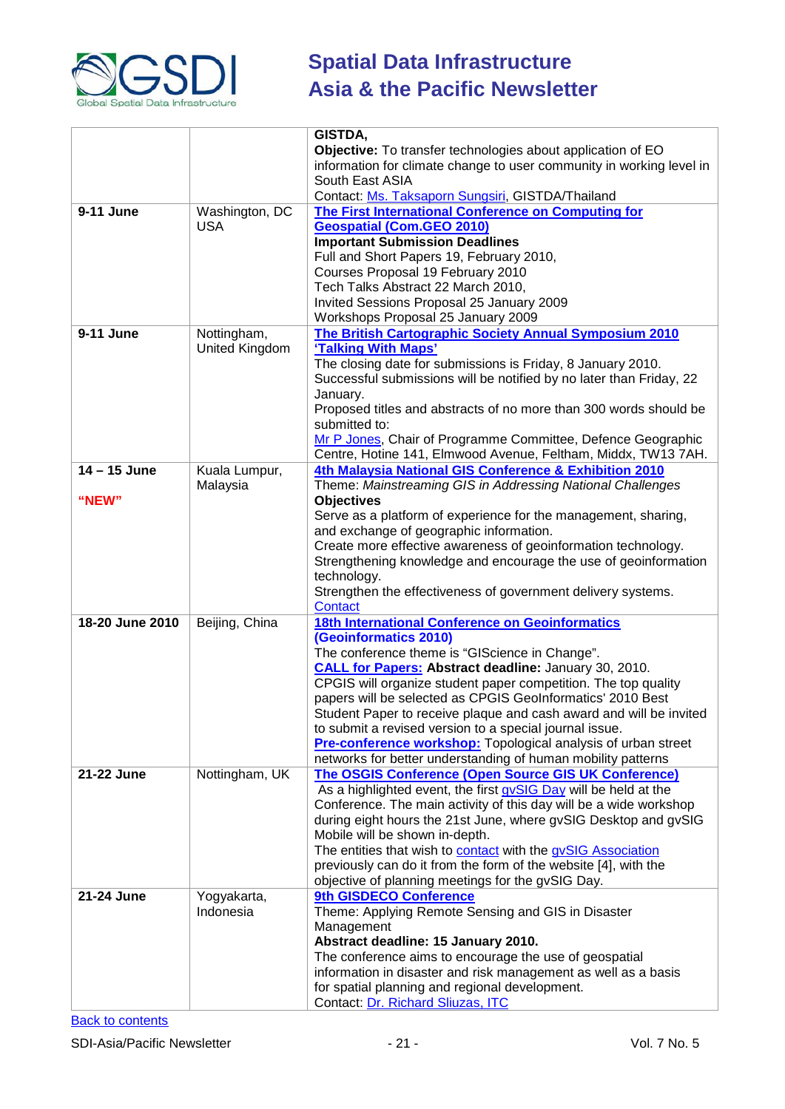

|                 |                | GISTDA,<br>Objective: To transfer technologies about application of EO                                                           |  |  |
|-----------------|----------------|----------------------------------------------------------------------------------------------------------------------------------|--|--|
|                 |                | information for climate change to user community in working level in<br>South East ASIA                                          |  |  |
|                 |                | Contact: Ms. Taksaporn Sungsiri, GISTDA/Thailand                                                                                 |  |  |
| 9-11 June       | Washington, DC | The First International Conference on Computing for                                                                              |  |  |
|                 | <b>USA</b>     | <b>Geospatial (Com.GEO 2010)</b>                                                                                                 |  |  |
|                 |                | <b>Important Submission Deadlines</b>                                                                                            |  |  |
|                 |                | Full and Short Papers 19, February 2010,                                                                                         |  |  |
|                 |                | Courses Proposal 19 February 2010<br>Tech Talks Abstract 22 March 2010,                                                          |  |  |
|                 |                | Invited Sessions Proposal 25 January 2009                                                                                        |  |  |
|                 |                | Workshops Proposal 25 January 2009                                                                                               |  |  |
| 9-11 June       | Nottingham,    | The British Cartographic Society Annual Symposium 2010                                                                           |  |  |
|                 | United Kingdom | 'Talking With Maps'                                                                                                              |  |  |
|                 |                | The closing date for submissions is Friday, 8 January 2010.                                                                      |  |  |
|                 |                | Successful submissions will be notified by no later than Friday, 22                                                              |  |  |
|                 |                | January.                                                                                                                         |  |  |
|                 |                | Proposed titles and abstracts of no more than 300 words should be<br>submitted to:                                               |  |  |
|                 |                | Mr P Jones, Chair of Programme Committee, Defence Geographic                                                                     |  |  |
|                 |                | Centre, Hotine 141, Elmwood Avenue, Feltham, Middx, TW13 7AH.                                                                    |  |  |
| $14 - 15$ June  | Kuala Lumpur,  | 4th Malaysia National GIS Conference & Exhibition 2010                                                                           |  |  |
|                 | Malaysia       | Theme: Mainstreaming GIS in Addressing National Challenges                                                                       |  |  |
| "NEW"           |                | <b>Objectives</b>                                                                                                                |  |  |
|                 |                | Serve as a platform of experience for the management, sharing,                                                                   |  |  |
|                 |                | and exchange of geographic information.                                                                                          |  |  |
|                 |                | Create more effective awareness of geoinformation technology.<br>Strengthening knowledge and encourage the use of geoinformation |  |  |
|                 |                | technology.                                                                                                                      |  |  |
|                 |                | Strengthen the effectiveness of government delivery systems.                                                                     |  |  |
|                 |                | <b>Contact</b>                                                                                                                   |  |  |
| 18-20 June 2010 | Beijing, China | <b>18th International Conference on Geoinformatics</b>                                                                           |  |  |
|                 |                | (Geoinformatics 2010)                                                                                                            |  |  |
|                 |                | The conference theme is "GIScience in Change".                                                                                   |  |  |
|                 |                | <b>CALL for Papers: Abstract deadline: January 30, 2010.</b><br>CPGIS will organize student paper competition. The top quality   |  |  |
|                 |                | papers will be selected as CPGIS GeoInformatics' 2010 Best                                                                       |  |  |
|                 |                | Student Paper to receive plaque and cash award and will be invited                                                               |  |  |
|                 |                | to submit a revised version to a special journal issue.                                                                          |  |  |
|                 |                | Pre-conference workshop: Topological analysis of urban street<br>networks for better understanding of human mobility patterns    |  |  |
| 21-22 June      | Nottingham, UK | <b>The OSGIS Conference (Open Source GIS UK Conference)</b>                                                                      |  |  |
|                 |                | As a highlighted event, the first gvSIG Day will be held at the                                                                  |  |  |
|                 |                | Conference. The main activity of this day will be a wide workshop                                                                |  |  |
|                 |                | during eight hours the 21st June, where gvSIG Desktop and gvSIG                                                                  |  |  |
|                 |                | Mobile will be shown in-depth.                                                                                                   |  |  |
|                 |                | The entities that wish to contact with the gvSIG Association                                                                     |  |  |
|                 |                | previously can do it from the form of the website [4], with the<br>objective of planning meetings for the gvSIG Day.             |  |  |
| 21-24 June      | Yogyakarta,    | 9th GISDECO Conference                                                                                                           |  |  |
|                 | Indonesia      | Theme: Applying Remote Sensing and GIS in Disaster                                                                               |  |  |
|                 |                | Management                                                                                                                       |  |  |
|                 |                | Abstract deadline: 15 January 2010.                                                                                              |  |  |
|                 |                | The conference aims to encourage the use of geospatial                                                                           |  |  |
|                 |                | information in disaster and risk management as well as a basis                                                                   |  |  |
|                 |                | for spatial planning and regional development.                                                                                   |  |  |
|                 |                | Contact: Dr. Richard Sliuzas, ITC                                                                                                |  |  |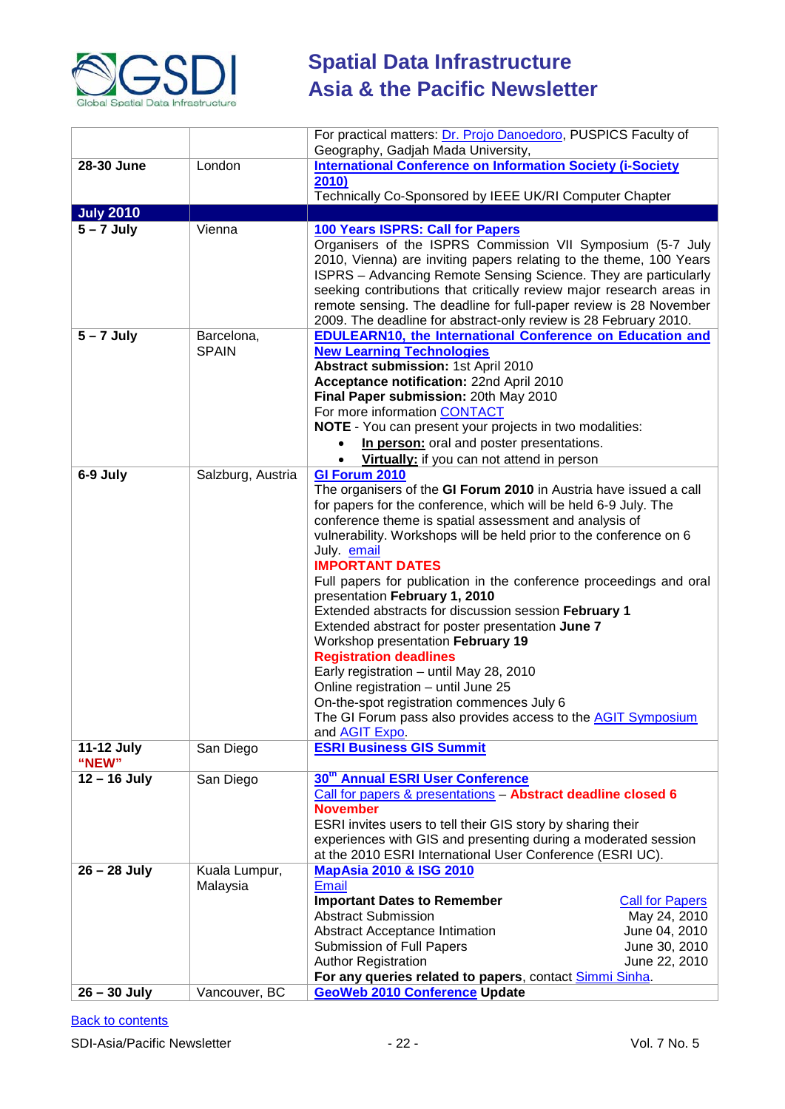

|                                  |                                            | For practical matters: Dr. Projo Danoedoro, PUSPICS Faculty of<br>Geography, Gadjah Mada University,                                                                                                                                                                                                                                                                                                                                                                                                                                                                                                                                                                                                                                                                                                                                 |                                                                                           |  |
|----------------------------------|--------------------------------------------|--------------------------------------------------------------------------------------------------------------------------------------------------------------------------------------------------------------------------------------------------------------------------------------------------------------------------------------------------------------------------------------------------------------------------------------------------------------------------------------------------------------------------------------------------------------------------------------------------------------------------------------------------------------------------------------------------------------------------------------------------------------------------------------------------------------------------------------|-------------------------------------------------------------------------------------------|--|
| 28-30 June                       | London                                     | <b>International Conference on Information Society (i-Society</b>                                                                                                                                                                                                                                                                                                                                                                                                                                                                                                                                                                                                                                                                                                                                                                    |                                                                                           |  |
|                                  |                                            | 2010)                                                                                                                                                                                                                                                                                                                                                                                                                                                                                                                                                                                                                                                                                                                                                                                                                                |                                                                                           |  |
|                                  |                                            | Technically Co-Sponsored by IEEE UK/RI Computer Chapter                                                                                                                                                                                                                                                                                                                                                                                                                                                                                                                                                                                                                                                                                                                                                                              |                                                                                           |  |
| <b>July 2010</b>                 |                                            |                                                                                                                                                                                                                                                                                                                                                                                                                                                                                                                                                                                                                                                                                                                                                                                                                                      |                                                                                           |  |
| $5 - 7$ July                     | Vienna                                     | 100 Years ISPRS: Call for Papers<br>Organisers of the ISPRS Commission VII Symposium (5-7 July<br>2010, Vienna) are inviting papers relating to the theme, 100 Years<br>ISPRS - Advancing Remote Sensing Science. They are particularly<br>seeking contributions that critically review major research areas in<br>remote sensing. The deadline for full-paper review is 28 November<br>2009. The deadline for abstract-only review is 28 February 2010.                                                                                                                                                                                                                                                                                                                                                                             |                                                                                           |  |
| $5 - 7$ July                     | Barcelona,<br><b>SPAIN</b>                 | <b>EDULEARN10, the International Conference on Education and</b><br><b>New Learning Technologies</b><br>Abstract submission: 1st April 2010<br>Acceptance notification: 22nd April 2010<br>Final Paper submission: 20th May 2010<br>For more information CONTACT<br>NOTE - You can present your projects in two modalities:<br>In person: oral and poster presentations.<br>Virtually: if you can not attend in person                                                                                                                                                                                                                                                                                                                                                                                                               |                                                                                           |  |
| 6-9 July                         | Salzburg, Austria                          | <b>GI Forum 2010</b><br>The organisers of the GI Forum 2010 in Austria have issued a call<br>for papers for the conference, which will be held 6-9 July. The<br>conference theme is spatial assessment and analysis of<br>vulnerability. Workshops will be held prior to the conference on 6<br>July. email<br><b>IMPORTANT DATES</b><br>Full papers for publication in the conference proceedings and oral<br>presentation February 1, 2010<br>Extended abstracts for discussion session February 1<br>Extended abstract for poster presentation June 7<br>Workshop presentation February 19<br><b>Registration deadlines</b><br>Early registration - until May 28, 2010<br>Online registration - until June 25<br>On-the-spot registration commences July 6<br>The GI Forum pass also provides access to the <b>AGIT Symposium</b> |                                                                                           |  |
| 11-12 July<br>"NEW"              | San Diego                                  | and <b>AGIT Expo.</b><br><b>ESRI Business GIS Summit</b>                                                                                                                                                                                                                                                                                                                                                                                                                                                                                                                                                                                                                                                                                                                                                                             |                                                                                           |  |
| $12 - 16$ July                   | San Diego                                  | 30 <sup>th</sup> Annual ESRI User Conference<br>Call for papers & presentations - Abstract deadline closed 6<br><b>November</b><br>ESRI invites users to tell their GIS story by sharing their<br>experiences with GIS and presenting during a moderated session<br>at the 2010 ESRI International User Conference (ESRI UC).                                                                                                                                                                                                                                                                                                                                                                                                                                                                                                        |                                                                                           |  |
| $26 - 28$ July<br>$26 - 30$ July | Kuala Lumpur,<br>Malaysia<br>Vancouver, BC | <b>MapAsia 2010 &amp; ISG 2010</b><br><b>Email</b><br><b>Important Dates to Remember</b><br><b>Abstract Submission</b><br><b>Abstract Acceptance Intimation</b><br>Submission of Full Papers<br><b>Author Registration</b><br>For any queries related to papers, contact Simmi Sinha.<br><b>GeoWeb 2010 Conference Update</b>                                                                                                                                                                                                                                                                                                                                                                                                                                                                                                        | <b>Call for Papers</b><br>May 24, 2010<br>June 04, 2010<br>June 30, 2010<br>June 22, 2010 |  |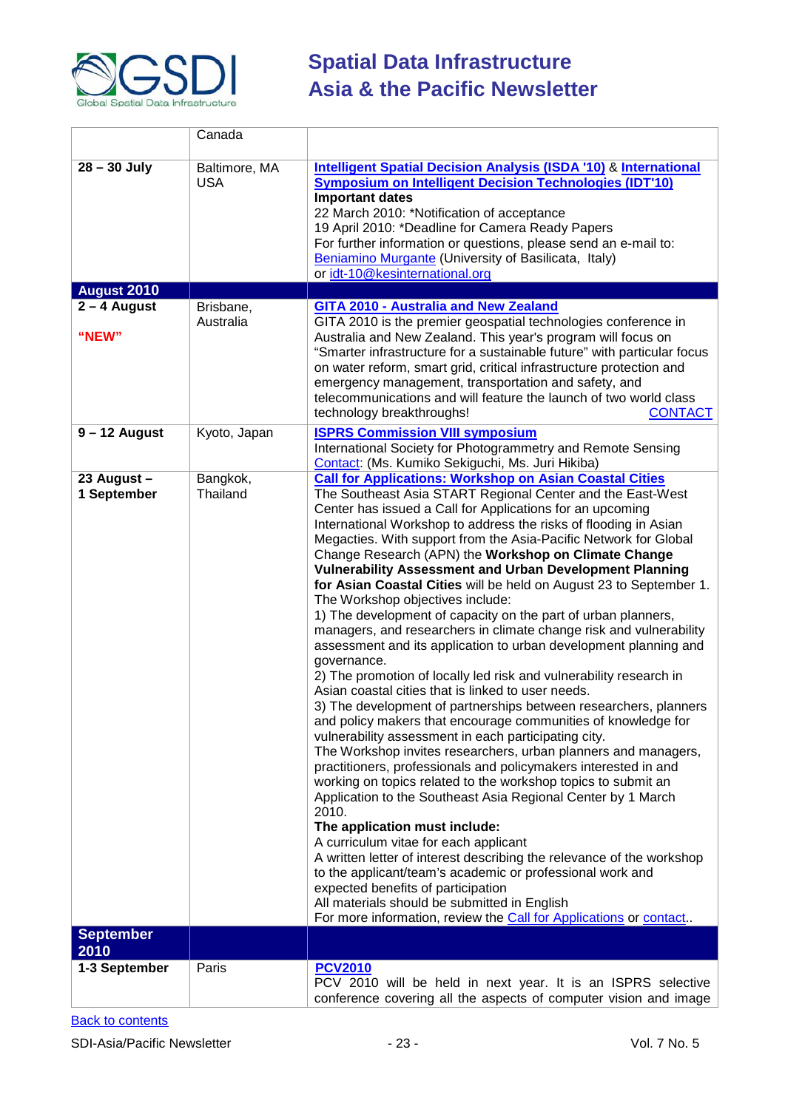

|                                      | Canada                      |                                                                                                                                                                                                                                                                                                                                                                                                                                                                                                                                                                                                                                                                                                                                                                                                                                                                                                                                                                                                                                                                                                                                                                                                                                                                                                                                                                                                                                                                                                                                                                                                                                                                                                                                                                                    |
|--------------------------------------|-----------------------------|------------------------------------------------------------------------------------------------------------------------------------------------------------------------------------------------------------------------------------------------------------------------------------------------------------------------------------------------------------------------------------------------------------------------------------------------------------------------------------------------------------------------------------------------------------------------------------------------------------------------------------------------------------------------------------------------------------------------------------------------------------------------------------------------------------------------------------------------------------------------------------------------------------------------------------------------------------------------------------------------------------------------------------------------------------------------------------------------------------------------------------------------------------------------------------------------------------------------------------------------------------------------------------------------------------------------------------------------------------------------------------------------------------------------------------------------------------------------------------------------------------------------------------------------------------------------------------------------------------------------------------------------------------------------------------------------------------------------------------------------------------------------------------|
| $28 - 30$ July<br><b>August 2010</b> | Baltimore, MA<br><b>USA</b> | <b>Intelligent Spatial Decision Analysis (ISDA '10) &amp; International</b><br><b>Symposium on Intelligent Decision Technologies (IDT'10)</b><br><b>Important dates</b><br>22 March 2010: *Notification of acceptance<br>19 April 2010: *Deadline for Camera Ready Papers<br>For further information or questions, please send an e-mail to:<br>Beniamino Murgante (University of Basilicata, Italy)<br>or idt-10@kesinternational.org                                                                                                                                                                                                                                                                                                                                                                                                                                                                                                                                                                                                                                                                                                                                                                                                                                                                                                                                                                                                                                                                                                                                                                                                                                                                                                                                             |
| $2 - 4$ August                       | Brisbane,                   | GITA 2010 - Australia and New Zealand                                                                                                                                                                                                                                                                                                                                                                                                                                                                                                                                                                                                                                                                                                                                                                                                                                                                                                                                                                                                                                                                                                                                                                                                                                                                                                                                                                                                                                                                                                                                                                                                                                                                                                                                              |
| "NEW"                                | Australia                   | GITA 2010 is the premier geospatial technologies conference in<br>Australia and New Zealand. This year's program will focus on<br>"Smarter infrastructure for a sustainable future" with particular focus<br>on water reform, smart grid, critical infrastructure protection and<br>emergency management, transportation and safety, and<br>telecommunications and will feature the launch of two world class<br>technology breakthroughs!<br><b>CONTACT</b>                                                                                                                                                                                                                                                                                                                                                                                                                                                                                                                                                                                                                                                                                                                                                                                                                                                                                                                                                                                                                                                                                                                                                                                                                                                                                                                       |
| $9 - 12$ August                      | Kyoto, Japan                | <b>ISPRS Commission VIII symposium</b><br>International Society for Photogrammetry and Remote Sensing                                                                                                                                                                                                                                                                                                                                                                                                                                                                                                                                                                                                                                                                                                                                                                                                                                                                                                                                                                                                                                                                                                                                                                                                                                                                                                                                                                                                                                                                                                                                                                                                                                                                              |
|                                      |                             | Contact: (Ms. Kumiko Sekiguchi, Ms. Juri Hikiba)                                                                                                                                                                                                                                                                                                                                                                                                                                                                                                                                                                                                                                                                                                                                                                                                                                                                                                                                                                                                                                                                                                                                                                                                                                                                                                                                                                                                                                                                                                                                                                                                                                                                                                                                   |
| 23 August -<br>1 September           | Bangkok,<br>Thailand        | <b>Call for Applications: Workshop on Asian Coastal Cities</b><br>The Southeast Asia START Regional Center and the East-West<br>Center has issued a Call for Applications for an upcoming<br>International Workshop to address the risks of flooding in Asian<br>Megacties. With support from the Asia-Pacific Network for Global<br>Change Research (APN) the Workshop on Climate Change<br><b>Vulnerability Assessment and Urban Development Planning</b><br>for Asian Coastal Cities will be held on August 23 to September 1.<br>The Workshop objectives include:<br>1) The development of capacity on the part of urban planners,<br>managers, and researchers in climate change risk and vulnerability<br>assessment and its application to urban development planning and<br>governance.<br>2) The promotion of locally led risk and vulnerability research in<br>Asian coastal cities that is linked to user needs.<br>3) The development of partnerships between researchers, planners<br>and policy makers that encourage communities of knowledge for<br>vulnerability assessment in each participating city.<br>The Workshop invites researchers, urban planners and managers,<br>practitioners, professionals and policymakers interested in and<br>working on topics related to the workshop topics to submit an<br>Application to the Southeast Asia Regional Center by 1 March<br>2010.<br>The application must include:<br>A curriculum vitae for each applicant<br>A written letter of interest describing the relevance of the workshop<br>to the applicant/team's academic or professional work and<br>expected benefits of participation<br>All materials should be submitted in English<br>For more information, review the Call for Applications or contact |
| <b>September</b>                     |                             |                                                                                                                                                                                                                                                                                                                                                                                                                                                                                                                                                                                                                                                                                                                                                                                                                                                                                                                                                                                                                                                                                                                                                                                                                                                                                                                                                                                                                                                                                                                                                                                                                                                                                                                                                                                    |
| 2010                                 |                             |                                                                                                                                                                                                                                                                                                                                                                                                                                                                                                                                                                                                                                                                                                                                                                                                                                                                                                                                                                                                                                                                                                                                                                                                                                                                                                                                                                                                                                                                                                                                                                                                                                                                                                                                                                                    |
| 1-3 September                        | Paris                       | <b>PCV2010</b><br>PCV 2010 will be held in next year. It is an ISPRS selective<br>conference covering all the aspects of computer vision and image                                                                                                                                                                                                                                                                                                                                                                                                                                                                                                                                                                                                                                                                                                                                                                                                                                                                                                                                                                                                                                                                                                                                                                                                                                                                                                                                                                                                                                                                                                                                                                                                                                 |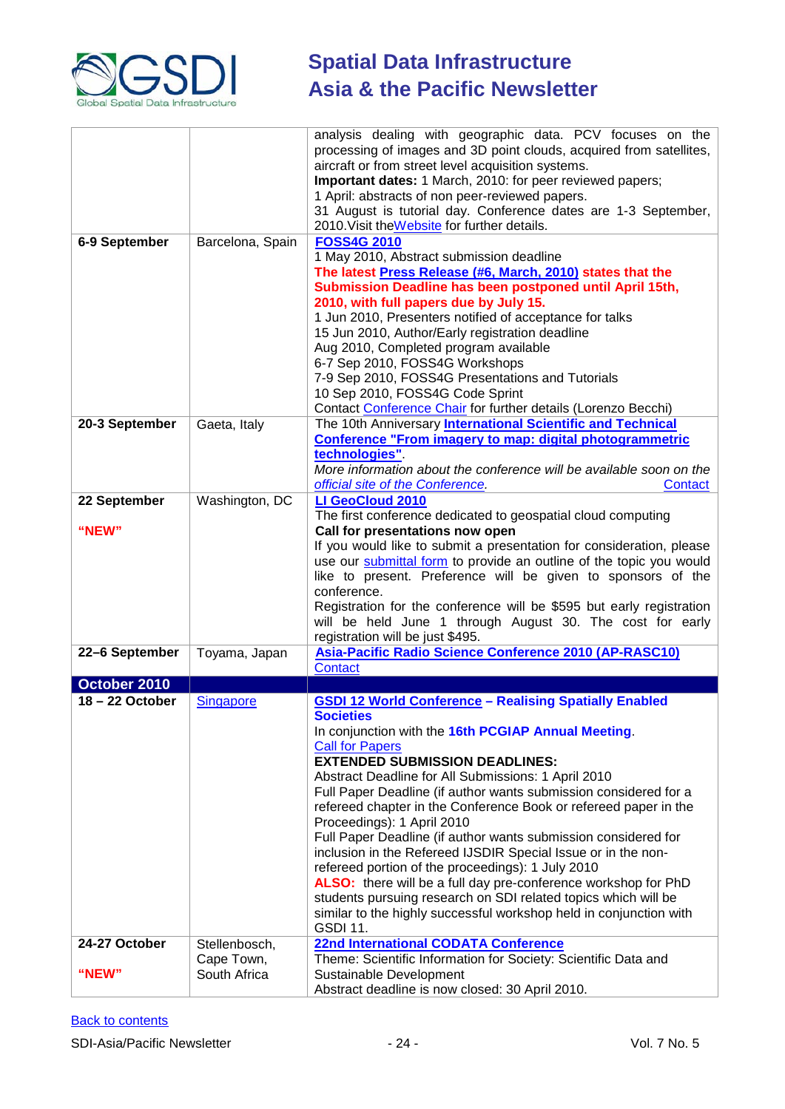

| 6-9 September                  | Barcelona, Spain                  | analysis dealing with geographic data. PCV focuses on the<br>processing of images and 3D point clouds, acquired from satellites,<br>aircraft or from street level acquisition systems.<br>Important dates: 1 March, 2010: for peer reviewed papers;<br>1 April: abstracts of non peer-reviewed papers.<br>31 August is tutorial day. Conference dates are 1-3 September,<br>2010. Visit the Website for further details.<br><b>FOSS4G 2010</b>                                                                                                                                                                                                                                                                                                                                                                                                                |
|--------------------------------|-----------------------------------|---------------------------------------------------------------------------------------------------------------------------------------------------------------------------------------------------------------------------------------------------------------------------------------------------------------------------------------------------------------------------------------------------------------------------------------------------------------------------------------------------------------------------------------------------------------------------------------------------------------------------------------------------------------------------------------------------------------------------------------------------------------------------------------------------------------------------------------------------------------|
|                                |                                   | 1 May 2010, Abstract submission deadline<br>The latest Press Release (#6, March, 2010) states that the<br>Submission Deadline has been postponed until April 15th,<br>2010, with full papers due by July 15.<br>1 Jun 2010, Presenters notified of acceptance for talks<br>15 Jun 2010, Author/Early registration deadline<br>Aug 2010, Completed program available<br>6-7 Sep 2010, FOSS4G Workshops<br>7-9 Sep 2010, FOSS4G Presentations and Tutorials<br>10 Sep 2010, FOSS4G Code Sprint<br>Contact Conference Chair for further details (Lorenzo Becchi)                                                                                                                                                                                                                                                                                                 |
| 20-3 September                 | Gaeta, Italy                      | The 10th Anniversary International Scientific and Technical<br><b>Conference "From imagery to map: digital photogrammetric</b><br>technologies".<br>More information about the conference will be available soon on the<br>official site of the Conference.<br>Contact                                                                                                                                                                                                                                                                                                                                                                                                                                                                                                                                                                                        |
| 22 September<br>"NEW"          | Washington, DC                    | LI GeoCloud 2010<br>The first conference dedicated to geospatial cloud computing<br>Call for presentations now open<br>If you would like to submit a presentation for consideration, please<br>use our submittal form to provide an outline of the topic you would<br>like to present. Preference will be given to sponsors of the<br>conference.<br>Registration for the conference will be \$595 but early registration<br>will be held June 1 through August 30. The cost for early<br>registration will be just \$495.                                                                                                                                                                                                                                                                                                                                    |
| 22-6 September                 | Toyama, Japan                     | Asia-Pacific Radio Science Conference 2010 (AP-RASC10)<br><b>Contact</b>                                                                                                                                                                                                                                                                                                                                                                                                                                                                                                                                                                                                                                                                                                                                                                                      |
| October 2010                   |                                   |                                                                                                                                                                                                                                                                                                                                                                                                                                                                                                                                                                                                                                                                                                                                                                                                                                                               |
| 18-22 October<br>24-27 October | <b>Singapore</b><br>Stellenbosch, | <b>GSDI 12 World Conference - Realising Spatially Enabled</b><br><b>Societies</b><br>In conjunction with the 16th PCGIAP Annual Meeting.<br><b>Call for Papers</b><br><b>EXTENDED SUBMISSION DEADLINES:</b><br>Abstract Deadline for All Submissions: 1 April 2010<br>Full Paper Deadline (if author wants submission considered for a<br>refereed chapter in the Conference Book or refereed paper in the<br>Proceedings): 1 April 2010<br>Full Paper Deadline (if author wants submission considered for<br>inclusion in the Refereed IJSDIR Special Issue or in the non-<br>refereed portion of the proceedings): 1 July 2010<br>ALSO: there will be a full day pre-conference workshop for PhD<br>students pursuing research on SDI related topics which will be<br>similar to the highly successful workshop held in conjunction with<br><b>GSDI 11.</b> |
|                                |                                   | <b>22nd International CODATA Conference</b><br>Theme: Scientific Information for Society: Scientific Data and                                                                                                                                                                                                                                                                                                                                                                                                                                                                                                                                                                                                                                                                                                                                                 |
| "NEW"                          | Cape Town,<br>South Africa        | Sustainable Development<br>Abstract deadline is now closed: 30 April 2010.                                                                                                                                                                                                                                                                                                                                                                                                                                                                                                                                                                                                                                                                                                                                                                                    |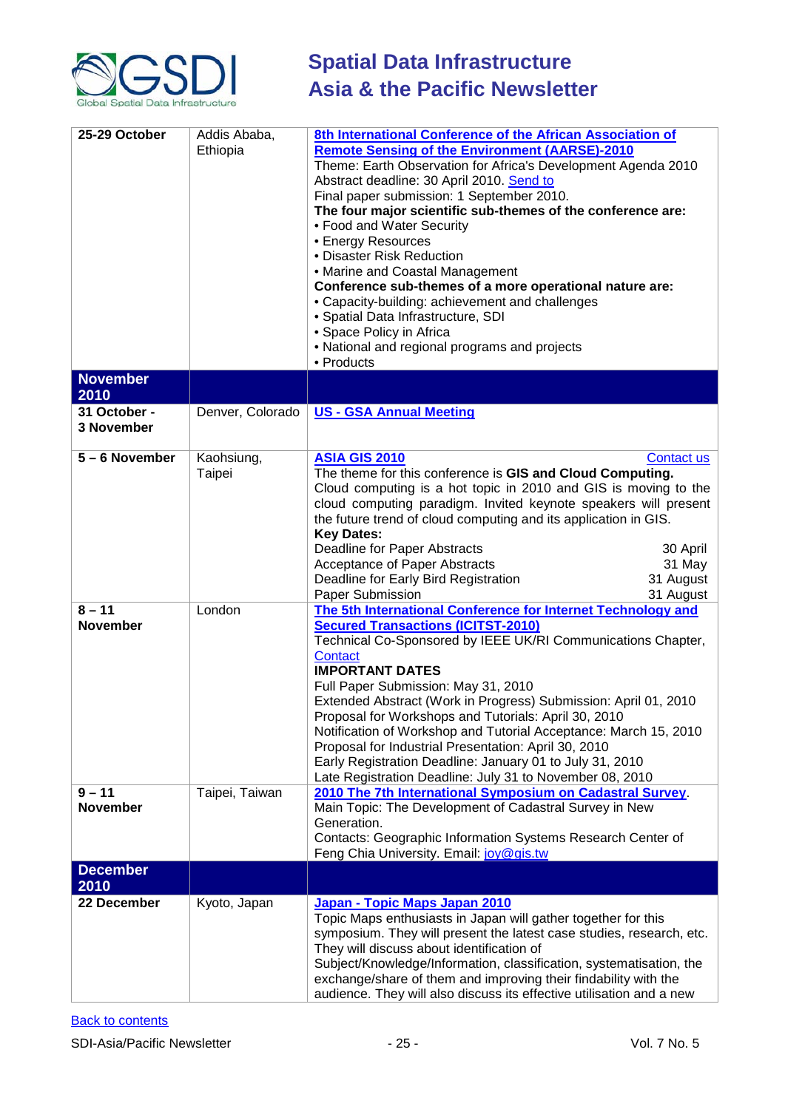

| 25-29 October               | Addis Ababa,<br>Ethiopia | 8th International Conference of the African Association of<br><b>Remote Sensing of the Environment (AARSE)-2010</b><br>Theme: Earth Observation for Africa's Development Agenda 2010<br>Abstract deadline: 30 April 2010. Send to<br>Final paper submission: 1 September 2010.<br>The four major scientific sub-themes of the conference are:<br>• Food and Water Security<br>• Energy Resources<br>• Disaster Risk Reduction<br>• Marine and Coastal Management<br>Conference sub-themes of a more operational nature are:<br>• Capacity-building: achievement and challenges<br>· Spatial Data Infrastructure, SDI<br>• Space Policy in Africa<br>• National and regional programs and projects<br>• Products |  |
|-----------------------------|--------------------------|-----------------------------------------------------------------------------------------------------------------------------------------------------------------------------------------------------------------------------------------------------------------------------------------------------------------------------------------------------------------------------------------------------------------------------------------------------------------------------------------------------------------------------------------------------------------------------------------------------------------------------------------------------------------------------------------------------------------|--|
| <b>November</b><br>2010     |                          |                                                                                                                                                                                                                                                                                                                                                                                                                                                                                                                                                                                                                                                                                                                 |  |
| 31 October -<br>3 November  | Denver, Colorado         | <b>US - GSA Annual Meeting</b>                                                                                                                                                                                                                                                                                                                                                                                                                                                                                                                                                                                                                                                                                  |  |
| 5-6 November                | Kaohsiung,<br>Taipei     | <b>ASIA GIS 2010</b><br>Contact us<br>The theme for this conference is GIS and Cloud Computing.<br>Cloud computing is a hot topic in 2010 and GIS is moving to the<br>cloud computing paradigm. Invited keynote speakers will present<br>the future trend of cloud computing and its application in GIS.<br><b>Key Dates:</b><br><b>Deadline for Paper Abstracts</b><br>30 April<br>Acceptance of Paper Abstracts<br>31 May<br>31 August<br>Deadline for Early Bird Registration<br>Paper Submission<br>31 August                                                                                                                                                                                               |  |
| $8 - 11$<br><b>November</b> | London                   | The 5th International Conference for Internet Technology and<br><b>Secured Transactions (ICITST-2010)</b><br>Technical Co-Sponsored by IEEE UK/RI Communications Chapter,<br>Contact<br><b>IMPORTANT DATES</b><br>Full Paper Submission: May 31, 2010<br>Extended Abstract (Work in Progress) Submission: April 01, 2010<br>Proposal for Workshops and Tutorials: April 30, 2010<br>Notification of Workshop and Tutorial Acceptance: March 15, 2010<br>Proposal for Industrial Presentation: April 30, 2010<br>Early Registration Deadline: January 01 to July 31, 2010<br>Late Registration Deadline: July 31 to November 08, 2010                                                                            |  |
| $9 - 11$<br><b>November</b> | Taipei, Taiwan           | 2010 The 7th International Symposium on Cadastral Survey.<br>Main Topic: The Development of Cadastral Survey in New<br>Generation.<br>Contacts: Geographic Information Systems Research Center of<br>Feng Chia University. Email: joy@gis.tw                                                                                                                                                                                                                                                                                                                                                                                                                                                                    |  |
| <b>December</b><br>2010     |                          |                                                                                                                                                                                                                                                                                                                                                                                                                                                                                                                                                                                                                                                                                                                 |  |
| 22 December                 | Kyoto, Japan             | Japan - Topic Maps Japan 2010<br>Topic Maps enthusiasts in Japan will gather together for this<br>symposium. They will present the latest case studies, research, etc.<br>They will discuss about identification of<br>Subject/Knowledge/Information, classification, systematisation, the<br>exchange/share of them and improving their findability with the<br>audience. They will also discuss its effective utilisation and a new                                                                                                                                                                                                                                                                           |  |